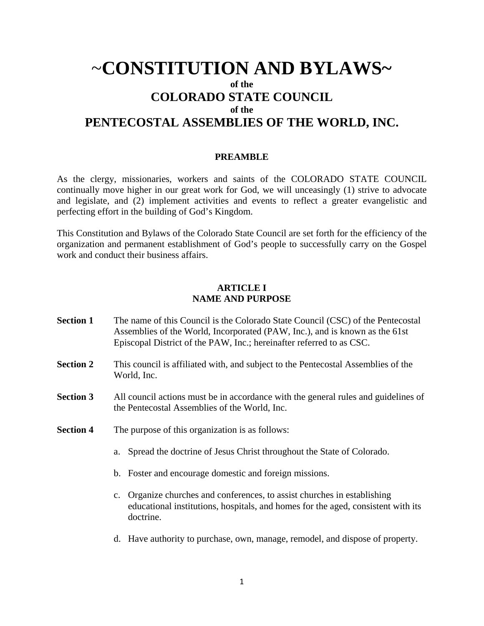# ~**CONSTITUTION AND BYLAWS~ of the COLORADO STATE COUNCIL of the PENTECOSTAL ASSEMBLIES OF THE WORLD, INC.**

#### **PREAMBLE**

As the clergy, missionaries, workers and saints of the COLORADO STATE COUNCIL continually move higher in our great work for God, we will unceasingly (1) strive to advocate and legislate, and (2) implement activities and events to reflect a greater evangelistic and perfecting effort in the building of God's Kingdom.

This Constitution and Bylaws of the Colorado State Council are set forth for the efficiency of the organization and permanent establishment of God's people to successfully carry on the Gospel work and conduct their business affairs.

# **ARTICLE I NAME AND PURPOSE**

- **Section 1** The name of this Council is the Colorado State Council (CSC) of the Pentecostal Assemblies of the World, Incorporated (PAW, Inc.), and is known as the 61st Episcopal District of the PAW, Inc.; hereinafter referred to as CSC.
- **Section 2** This council is affiliated with, and subject to the Pentecostal Assemblies of the World, Inc.
- **Section 3** All council actions must be in accordance with the general rules and guidelines of the Pentecostal Assemblies of the World, Inc.
- **Section 4** The purpose of this organization is as follows:
	- a. Spread the doctrine of Jesus Christ throughout the State of Colorado.
	- b. Foster and encourage domestic and foreign missions.
	- c. Organize churches and conferences, to assist churches in establishing educational institutions, hospitals, and homes for the aged, consistent with its doctrine.
	- d. Have authority to purchase, own, manage, remodel, and dispose of property.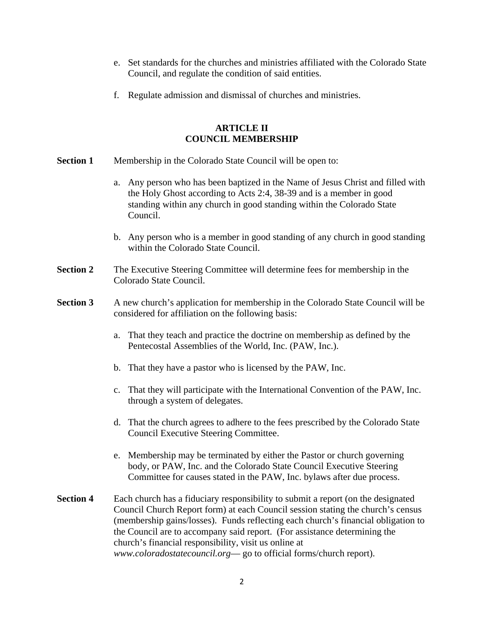- e. Set standards for the churches and ministries affiliated with the Colorado State Council, and regulate the condition of said entities.
- f. Regulate admission and dismissal of churches and ministries.

# **ARTICLE II COUNCIL MEMBERSHIP**

- **Section 1** Membership in the Colorado State Council will be open to:
	- a. Any person who has been baptized in the Name of Jesus Christ and filled with the Holy Ghost according to Acts 2:4, 38-39 and is a member in good standing within any church in good standing within the Colorado State Council.
	- b. Any person who is a member in good standing of any church in good standing within the Colorado State Council.
- **Section 2** The Executive Steering Committee will determine fees for membership in the Colorado State Council.
- **Section 3** A new church's application for membership in the Colorado State Council will be considered for affiliation on the following basis:
	- a. That they teach and practice the doctrine on membership as defined by the Pentecostal Assemblies of the World, Inc. (PAW, Inc.).
	- b. That they have a pastor who is licensed by the PAW, Inc.
	- c. That they will participate with the International Convention of the PAW, Inc. through a system of delegates.
	- d. That the church agrees to adhere to the fees prescribed by the Colorado State Council Executive Steering Committee.
	- e. Membership may be terminated by either the Pastor or church governing body, or PAW, Inc. and the Colorado State Council Executive Steering Committee for causes stated in the PAW, Inc. bylaws after due process.
- **Section 4** Each church has a fiduciary responsibility to submit a report (on the designated Council Church Report form) at each Council session stating the church's census (membership gains/losses). Funds reflecting each church's financial obligation to the Council are to accompany said report. (For assistance determining the church's financial responsibility, visit us online at *www.coloradostatecouncil.org*— go to official forms/church report).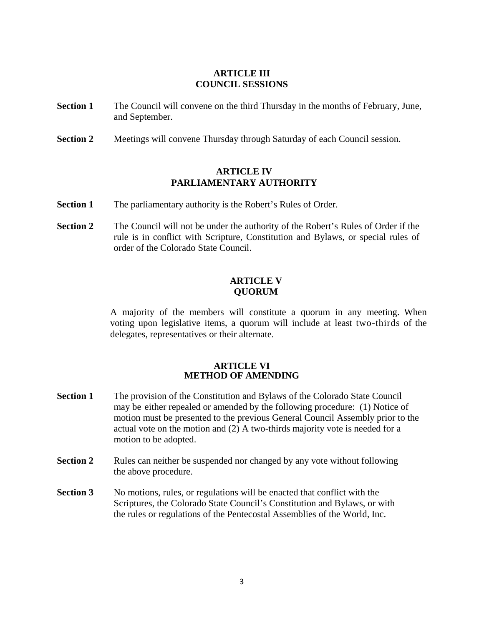# **ARTICLE III COUNCIL SESSIONS**

- **Section 1** The Council will convene on the third Thursday in the months of February, June, and September.
- **Section 2** Meetings will convene Thursday through Saturday of each Council session.

### **ARTICLE IV PARLIAMENTARY AUTHORITY**

- **Section 1** The parliamentary authority is the Robert's Rules of Order.
- **Section 2** The Council will not be under the authority of the Robert's Rules of Order if the rule is in conflict with Scripture, Constitution and Bylaws, or special rules of order of the Colorado State Council.

# **ARTICLE V QUORUM**

A majority of the members will constitute a quorum in any meeting. When voting upon legislative items, a quorum will include at least two-thirds of the delegates, representatives or their alternate.

#### **ARTICLE VI METHOD OF AMENDING**

- **Section 1** The provision of the Constitution and Bylaws of the Colorado State Council may be either repealed or amended by the following procedure: (1) Notice of motion must be presented to the previous General Council Assembly prior to the actual vote on the motion and (2) A two-thirds majority vote is needed for a motion to be adopted.
- **Section 2** Rules can neither be suspended nor changed by any vote without following the above procedure.
- **Section 3** No motions, rules, or regulations will be enacted that conflict with the Scriptures, the Colorado State Council's Constitution and Bylaws, or with the rules or regulations of the Pentecostal Assemblies of the World, Inc.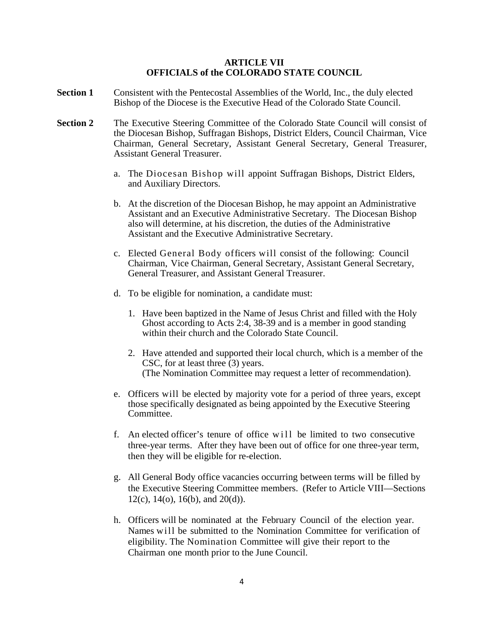#### **ARTICLE VII OFFICIALS of the COLORADO STATE COUNCIL**

- **Section 1** Consistent with the Pentecostal Assemblies of the World, Inc., the duly elected Bishop of the Diocese is the Executive Head of the Colorado State Council.
- **Section 2** The Executive Steering Committee of the Colorado State Council will consist of the Diocesan Bishop, Suffragan Bishops, District Elders, Council Chairman, Vice Chairman, General Secretary, Assistant General Secretary, General Treasurer, Assistant General Treasurer.
	- a. The Diocesan Bishop will appoint Suffragan Bishops, District Elders, and Auxiliary Directors.
	- b. At the discretion of the Diocesan Bishop, he may appoint an Administrative Assistant and an Executive Administrative Secretary. The Diocesan Bishop also will determine, at his discretion, the duties of the Administrative Assistant and the Executive Administrative Secretary.
	- c. Elected General Body officers will consist of the following: Council Chairman, Vice Chairman, General Secretary, Assistant General Secretary, General Treasurer, and Assistant General Treasurer.
	- d. To be eligible for nomination, a candidate must:
		- 1. Have been baptized in the Name of Jesus Christ and filled with the Holy Ghost according to Acts 2:4, 38-39 and is a member in good standing within their church and the Colorado State Council.
		- 2. Have attended and supported their local church, which is a member of the CSC, for at least three (3) years. (The Nomination Committee may request a letter of recommendation).
	- e. Officers will be elected by majority vote for a period of three years, except those specifically designated as being appointed by the Executive Steering Committee.
	- f. An elected officer's tenure of office will be limited to two consecutive three-year terms. After they have been out of office for one three-year term, then they will be eligible for re-election.
	- g. All General Body office vacancies occurring between terms will be filled by the Executive Steering Committee members. (Refer to Article VIII—Sections 12(c), 14(o), 16(b), and 20(d)).
	- h. Officers will be nominated at the February Council of the election year. Names will be submitted to the Nomination Committee for verification of eligibility. The Nomination Committee will give their report to the Chairman one month prior to the June Council.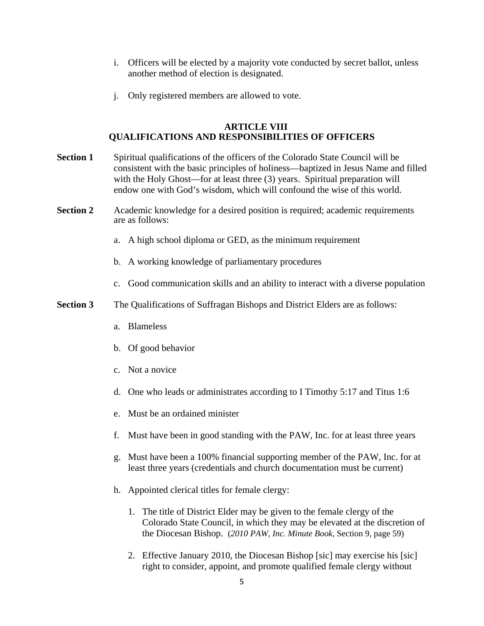- i. Officers will be elected by a majority vote conducted by secret ballot, unless another method of election is designated.
- j. Only registered members are allowed to vote.

#### **ARTICLE VIII QUALIFICATIONS AND RESPONSIBILITIES OF OFFICERS**

| <b>Section 1</b> | Spiritual qualifications of the officers of the Colorado State Council will be<br>consistent with the basic principles of holiness—baptized in Jesus Name and filled<br>with the Holy Ghost—for at least three (3) years. Spiritual preparation will<br>endow one with God's wisdom, which will confound the wise of this world. |  |
|------------------|----------------------------------------------------------------------------------------------------------------------------------------------------------------------------------------------------------------------------------------------------------------------------------------------------------------------------------|--|
| <b>Section 2</b> | Academic knowledge for a desired position is required; academic requirements<br>are as follows:                                                                                                                                                                                                                                  |  |
|                  | A high school diploma or GED, as the minimum requirement<br>a.                                                                                                                                                                                                                                                                   |  |
|                  | b. A working knowledge of parliamentary procedures                                                                                                                                                                                                                                                                               |  |
|                  | Good communication skills and an ability to interact with a diverse population<br>$C_{\bullet}$                                                                                                                                                                                                                                  |  |
| <b>Section 3</b> | The Qualifications of Suffragan Bishops and District Elders are as follows:                                                                                                                                                                                                                                                      |  |
|                  | a. Blameless                                                                                                                                                                                                                                                                                                                     |  |
|                  | b. Of good behavior                                                                                                                                                                                                                                                                                                              |  |
|                  | c. Not a novice                                                                                                                                                                                                                                                                                                                  |  |
|                  | d. One who leads or administrates according to I Timothy 5:17 and Titus 1:6                                                                                                                                                                                                                                                      |  |
|                  | e. Must be an ordained minister                                                                                                                                                                                                                                                                                                  |  |
|                  | Must have been in good standing with the PAW, Inc. for at least three years<br>f.                                                                                                                                                                                                                                                |  |

- g. Must have been a 100% financial supporting member of the PAW, Inc. for at least three years (credentials and church documentation must be current)
- h. Appointed clerical titles for female clergy:
	- 1. The title of District Elder may be given to the female clergy of the Colorado State Council, in which they may be elevated at the discretion of the Diocesan Bishop. (*2010 PAW, Inc. Minute Book,* Section 9, page 59)
	- 2. Effective January 2010, the Diocesan Bishop [sic] may exercise his [sic] right to consider, appoint, and promote qualified female clergy without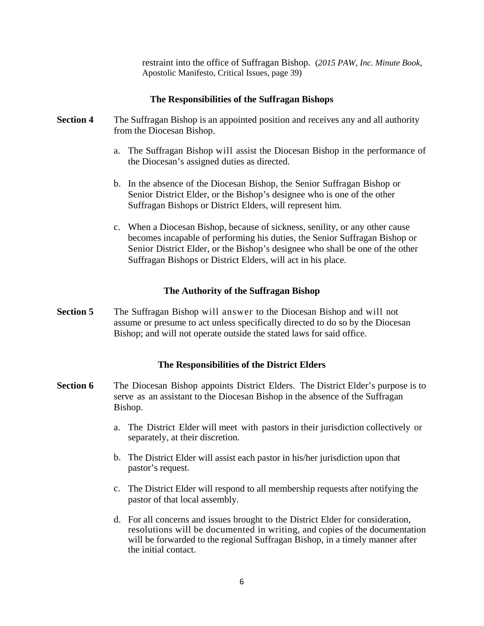restraint into the office of Suffragan Bishop. (*2015 PAW, Inc. Minute Book,* Apostolic Manifesto, Critical Issues, page 39)

#### **The Responsibilities of the Suffragan Bishops**

- **Section 4** The Suffragan Bishop is an appointed position and receives any and all authority from the Diocesan Bishop.
	- a. The Suffragan Bishop will assist the Diocesan Bishop in the performance of the Diocesan's assigned duties as directed.
	- b. In the absence of the Diocesan Bishop, the Senior Suffragan Bishop or Senior District Elder, or the Bishop's designee who is one of the other Suffragan Bishops or District Elders, will represent him.
	- c. When a Diocesan Bishop, because of sickness, senility, or any other cause becomes incapable of performing his duties, the Senior Suffragan Bishop or Senior District Elder, or the Bishop's designee who shall be one of the other Suffragan Bishops or District Elders, will act in his place.

#### **The Authority of the Suffragan Bishop**

**Section 5** The Suffragan Bishop will answer to the Diocesan Bishop and will not assume or presume to act unless specifically directed to do so by the Diocesan Bishop; and will not operate outside the stated laws for said office.

#### **The Responsibilities of the District Elders**

- **Section 6** The Diocesan Bishop appoints District Elders. The District Elder's purpose is to serve as an assistant to the Diocesan Bishop in the absence of the Suffragan Bishop.
	- a. The District Elder will meet with pastors in their jurisdiction collectively or separately, at their discretion.
	- b. The District Elder will assist each pastor in his/her jurisdiction upon that pastor's request.
	- c. The District Elder will respond to all membership requests after notifying the pastor of that local assembly.
	- d. For all concerns and issues brought to the District Elder for consideration, resolutions will be documented in writing, and copies of the documentation will be forwarded to the regional Suffragan Bishop, in a timely manner after the initial contact.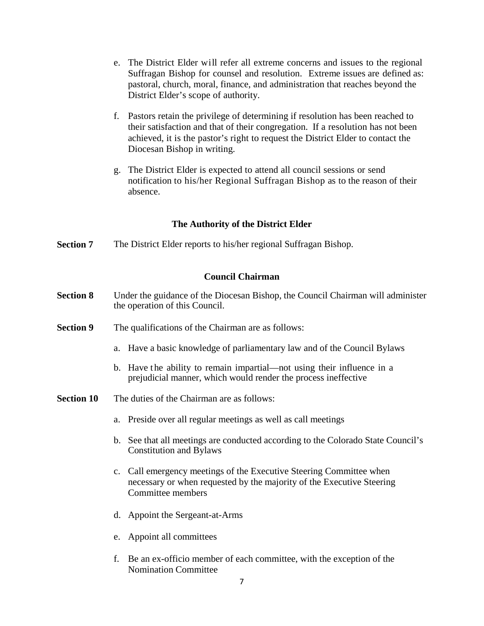- e. The District Elder will refer all extreme concerns and issues to the regional Suffragan Bishop for counsel and resolution. Extreme issues are defined as: pastoral, church, moral, finance, and administration that reaches beyond the District Elder's scope of authority.
- f. Pastors retain the privilege of determining if resolution has been reached to their satisfaction and that of their congregation. If a resolution has not been achieved, it is the pastor's right to request the District Elder to contact the Diocesan Bishop in writing.
- g. The District Elder is expected to attend all council sessions or send notification to his/her Regional Suffragan Bishop as to the reason of their absence.

# **The Authority of the District Elder**

**Section 7** The District Elder reports to his/her regional Suffragan Bishop.

#### **Council Chairman**

- **Section 8** Under the guidance of the Diocesan Bishop, the Council Chairman will administer the operation of this Council.
- **Section 9** The qualifications of the Chairman are as follows:
	- a. Have a basic knowledge of parliamentary law and of the Council Bylaws
	- b. Have the ability to remain impartial—not using their influence in a prejudicial manner, which would render the process ineffective
- **Section 10** The duties of the Chairman are as follows:
	- a. Preside over all regular meetings as well as call meetings
	- b. See that all meetings are conducted according to the Colorado State Council's Constitution and Bylaws
	- c. Call emergency meetings of the Executive Steering Committee when necessary or when requested by the majority of the Executive Steering Committee members
	- d. Appoint the Sergeant-at-Arms
	- e. Appoint all committees
	- f. Be an ex-officio member of each committee, with the exception of the Nomination Committee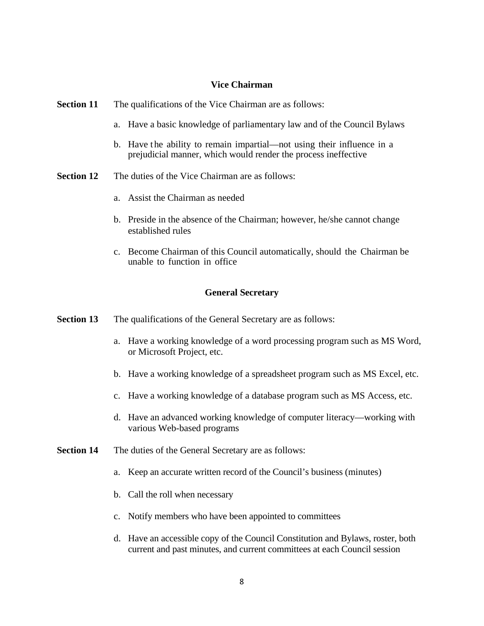### **Vice Chairman**

| The qualifications of the Vice Chairman are as follows:                                                                                  |
|------------------------------------------------------------------------------------------------------------------------------------------|
| Have a basic knowledge of parliamentary law and of the Council Bylaws<br>a.                                                              |
| b. Have the ability to remain impartial—not using their influence in a<br>prejudicial manner, which would render the process ineffective |
| The duties of the Vice Chairman are as follows:                                                                                          |
| a. Assist the Chairman as needed                                                                                                         |
| b. Preside in the absence of the Chairman; however, he/she cannot change<br>established rules                                            |
| c. Become Chairman of this Council automatically, should the Chairman be<br>unable to function in office                                 |
| <b>General Secretary</b>                                                                                                                 |
| The qualifications of the General Secretary are as follows:                                                                              |
| a. Have a working knowledge of a word processing program such as MS Word,<br>or Microsoft Project, etc.                                  |
| b. Have a working knowledge of a spreadsheet program such as MS Excel, etc.                                                              |
| c. Have a working knowledge of a database program such as MS Access, etc.                                                                |
|                                                                                                                                          |

- d. Have an advanced working knowledge of computer literacy—working with various Web-based programs
- **Section 14** The duties of the General Secretary are as follows:
	- a. Keep an accurate written record of the Council's business (minutes)
	- b. Call the roll when necessary
	- c. Notify members who have been appointed to committees
	- d. Have an accessible copy of the Council Constitution and Bylaws, roster, both current and past minutes, and current committees at each Council session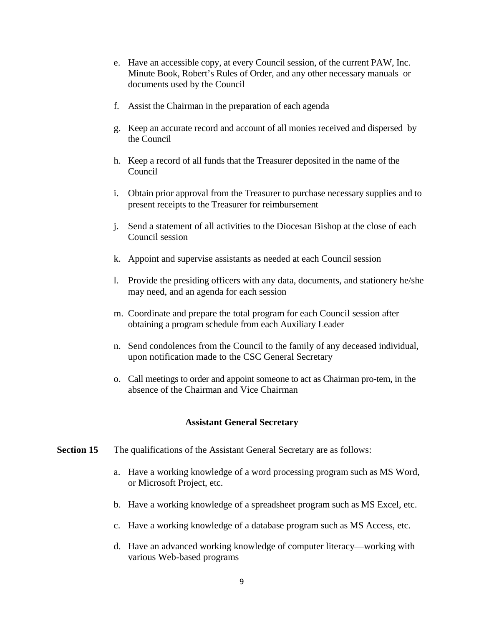- e. Have an accessible copy, at every Council session, of the current PAW, Inc. Minute Book, Robert's Rules of Order, and any other necessary manuals or documents used by the Council
- f. Assist the Chairman in the preparation of each agenda
- g. Keep an accurate record and account of all monies received and dispersed by the Council
- h. Keep a record of all funds that the Treasurer deposited in the name of the Council
- i. Obtain prior approval from the Treasurer to purchase necessary supplies and to present receipts to the Treasurer for reimbursement
- j. Send a statement of all activities to the Diocesan Bishop at the close of each Council session
- k. Appoint and supervise assistants as needed at each Council session
- l. Provide the presiding officers with any data, documents, and stationery he/she may need, and an agenda for each session
- m. Coordinate and prepare the total program for each Council session after obtaining a program schedule from each Auxiliary Leader
- n. Send condolences from the Council to the family of any deceased individual, upon notification made to the CSC General Secretary
- o. Call meetings to order and appoint someone to act as Chairman pro-tem, in the absence of the Chairman and Vice Chairman

#### **Assistant General Secretary**

- **Section 15** The qualifications of the Assistant General Secretary are as follows:
	- a. Have a working knowledge of a word processing program such as MS Word, or Microsoft Project, etc.
	- b. Have a working knowledge of a spreadsheet program such as MS Excel, etc.
	- c. Have a working knowledge of a database program such as MS Access, etc.
	- d. Have an advanced working knowledge of computer literacy—working with various Web-based programs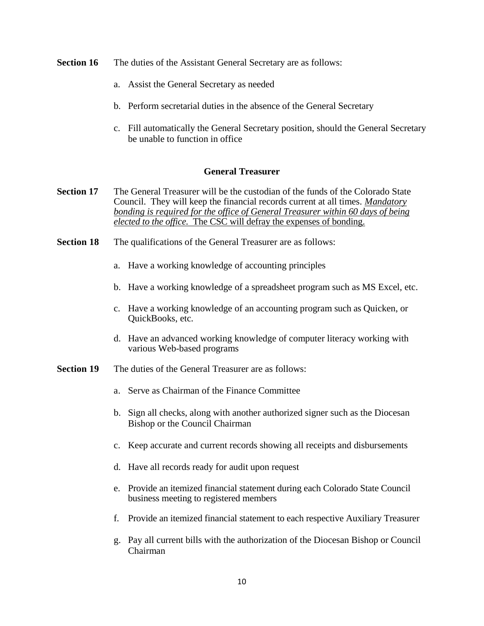- **Section 16** The duties of the Assistant General Secretary are as follows:
	- a. Assist the General Secretary as needed
	- b. Perform secretarial duties in the absence of the General Secretary
	- c. Fill automatically the General Secretary position, should the General Secretary be unable to function in office

#### **General Treasurer**

- **Section 17** The General Treasurer will be the custodian of the funds of the Colorado State Council. They will keep the financial records current at all times. *Mandatory bonding is required for the office of General Treasurer within 60 days of being elected to the office.* The CSC will defray the expenses of bonding.
- **Section 18** The qualifications of the General Treasurer are as follows:
	- a. Have a working knowledge of accounting principles
	- b. Have a working knowledge of a spreadsheet program such as MS Excel, etc.
	- c. Have a working knowledge of an accounting program such as Quicken, or QuickBooks, etc.
	- d. Have an advanced working knowledge of computer literacy working with various Web-based programs
- **Section 19** The duties of the General Treasurer are as follows:
	- a. Serve as Chairman of the Finance Committee
	- b. Sign all checks, along with another authorized signer such as the Diocesan Bishop or the Council Chairman
	- c. Keep accurate and current records showing all receipts and disbursements
	- d. Have all records ready for audit upon request
	- e. Provide an itemized financial statement during each Colorado State Council business meeting to registered members
	- f. Provide an itemized financial statement to each respective Auxiliary Treasurer
	- g. Pay all current bills with the authorization of the Diocesan Bishop or Council Chairman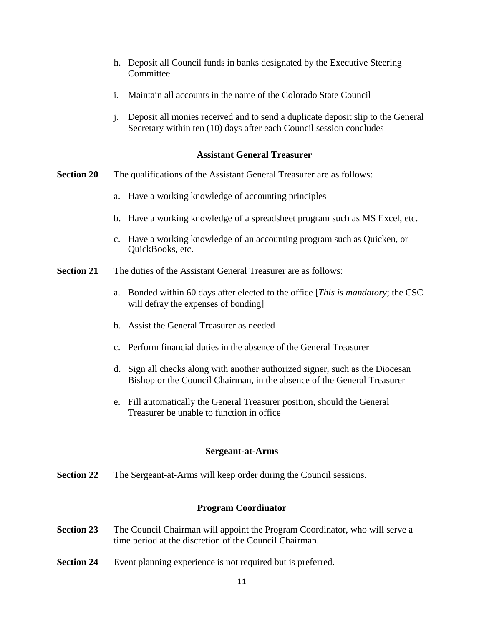- h. Deposit all Council funds in banks designated by the Executive Steering **Committee**
- i. Maintain all accounts in the name of the Colorado State Council
- j. Deposit all monies received and to send a duplicate deposit slip to the General Secretary within ten (10) days after each Council session concludes

### **Assistant General Treasurer**

- **Section 20** The qualifications of the Assistant General Treasurer are as follows:
	- a. Have a working knowledge of accounting principles
	- b. Have a working knowledge of a spreadsheet program such as MS Excel, etc.
	- c. Have a working knowledge of an accounting program such as Quicken, or QuickBooks, etc.
- **Section 21** The duties of the Assistant General Treasurer are as follows:
	- a. Bonded within 60 days after elected to the office [*This is mandatory*; the CSC will defray the expenses of bonding]
	- b. Assist the General Treasurer as needed
	- c. Perform financial duties in the absence of the General Treasurer
	- d. Sign all checks along with another authorized signer, such as the Diocesan Bishop or the Council Chairman, in the absence of the General Treasurer
	- e. Fill automatically the General Treasurer position, should the General Treasurer be unable to function in office

#### **Sergeant-at-Arms**

**Section 22** The Sergeant-at-Arms will keep order during the Council sessions.

# **Program Coordinator**

- **Section 23** The Council Chairman will appoint the Program Coordinator, who will serve a time period at the discretion of the Council Chairman.
- **Section 24** Event planning experience is not required but is preferred.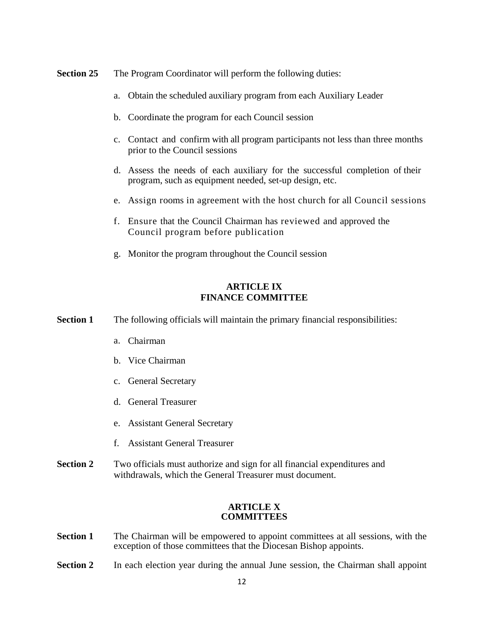- **Section 25** The Program Coordinator will perform the following duties:
	- a. Obtain the scheduled auxiliary program from each Auxiliary Leader
	- b. Coordinate the program for each Council session
	- c. Contact and confirm with all program participants not less than three months prior to the Council sessions
	- d. Assess the needs of each auxiliary for the successful completion of their program, such as equipment needed, set-up design, etc.
	- e. Assign rooms in agreement with the host church for all Council sessions
	- f. Ensure that the Council Chairman has reviewed and approved the Council program before publication
	- g. Monitor the program throughout the Council session

# **ARTICLE IX FINANCE COMMITTEE**

**Section 1** The following officials will maintain the primary financial responsibilities:

- a. Chairman
- b. Vice Chairman
- c. General Secretary
- d. General Treasurer
- e. Assistant General Secretary
- f. Assistant General Treasurer
- **Section 2** Two officials must authorize and sign for all financial expenditures and withdrawals, which the General Treasurer must document.

#### **ARTICLE X COMMITTEES**

- **Section 1** The Chairman will be empowered to appoint committees at all sessions, with the exception of those committees that the Diocesan Bishop appoints.
- **Section 2** In each election year during the annual June session, the Chairman shall appoint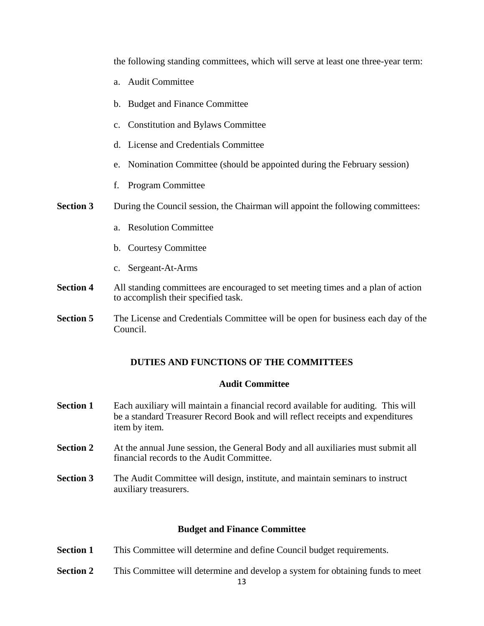the following standing committees, which will serve at least one three-year term:

- a. Audit Committee
- b. Budget and Finance Committee
- c. Constitution and Bylaws Committee
- d. License and Credentials Committee
- e. Nomination Committee (should be appointed during the February session)
- f. Program Committee
- **Section 3** During the Council session, the Chairman will appoint the following committees:
	- a. Resolution Committee
	- b. Courtesy Committee
	- c. Sergeant-At-Arms
- **Section 4** All standing committees are encouraged to set meeting times and a plan of action to accomplish their specified task.
- **Section 5** The License and Credentials Committee will be open for business each day of the Council.

### **DUTIES AND FUNCTIONS OF THE COMMITTEES**

#### **Audit Committee**

- **Section 1** Each auxiliary will maintain a financial record available for auditing. This will be a standard Treasurer Record Book and will reflect receipts and expenditures item by item.
- **Section 2** At the annual June session, the General Body and all auxiliaries must submit all financial records to the Audit Committee.
- **Section 3** The Audit Committee will design, institute, and maintain seminars to instruct auxiliary treasurers.

#### **Budget and Finance Committee**

- **Section 1** This Committee will determine and define Council budget requirements.
- **Section 2** This Committee will determine and develop a system for obtaining funds to meet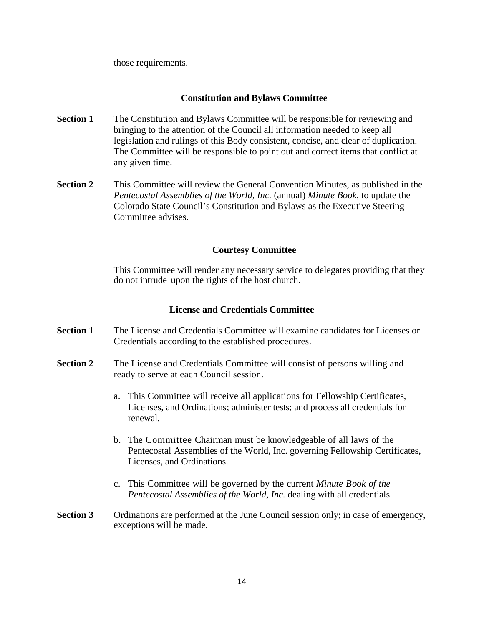those requirements.

# **Constitution and Bylaws Committee**

- **Section 1** The Constitution and Bylaws Committee will be responsible for reviewing and bringing to the attention of the Council all information needed to keep all legislation and rulings of this Body consistent, concise, and clear of duplication. The Committee will be responsible to point out and correct items that conflict at any given time.
- **Section 2** This Committee will review the General Convention Minutes, as published in the *Pentecostal Assemblies of the World, Inc.* (annual) *Minute Book,* to update the Colorado State Council's Constitution and Bylaws as the Executive Steering Committee advises.

# **Courtesy Committee**

This Committee will render any necessary service to delegates providing that they do not intrude upon the rights of the host church.

### **License and Credentials Committee**

- **Section 1** The License and Credentials Committee will examine candidates for Licenses or Credentials according to the established procedures.
- **Section 2** The License and Credentials Committee will consist of persons willing and ready to serve at each Council session.
	- a. This Committee will receive all applications for Fellowship Certificates, Licenses, and Ordinations; administer tests; and process all credentials for renewal.
	- b. The Committee Chairman must be knowledgeable of all laws of the Pentecostal Assemblies of the World, Inc. governing Fellowship Certificates, Licenses, and Ordinations.
	- c. This Committee will be governed by the current *Minute Book of the Pentecostal Assemblies of the World, Inc.* dealing with all credentials.
- **Section 3** Ordinations are performed at the June Council session only; in case of emergency, exceptions will be made.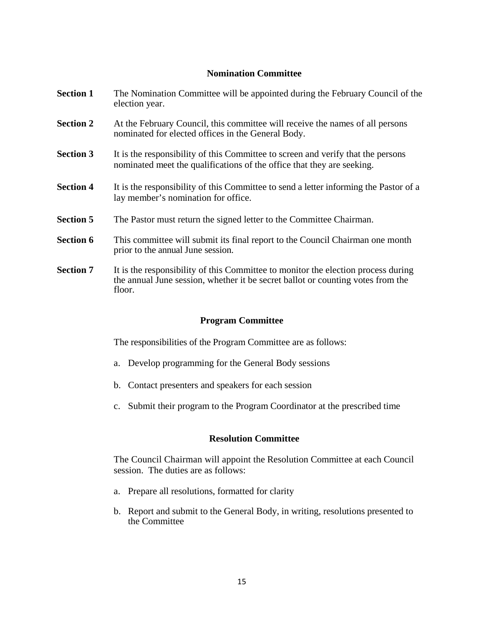# **Nomination Committee**

- **Section 1** The Nomination Committee will be appointed during the February Council of the election year.
- **Section 2** At the February Council, this committee will receive the names of all persons nominated for elected offices in the General Body.
- **Section 3** It is the responsibility of this Committee to screen and verify that the persons nominated meet the qualifications of the office that they are seeking.
- **Section 4** It is the responsibility of this Committee to send a letter informing the Pastor of a lay member's nomination for office.
- **Section 5** The Pastor must return the signed letter to the Committee Chairman.
- **Section 6** This committee will submit its final report to the Council Chairman one month prior to the annual June session.
- **Section 7** It is the responsibility of this Committee to monitor the election process during the annual June session, whether it be secret ballot or counting votes from the floor.

#### **Program Committee**

The responsibilities of the Program Committee are as follows:

- a. Develop programming for the General Body sessions
- b. Contact presenters and speakers for each session
- c. Submit their program to the Program Coordinator at the prescribed time

#### **Resolution Committee**

The Council Chairman will appoint the Resolution Committee at each Council session. The duties are as follows:

- a. Prepare all resolutions, formatted for clarity
- b. Report and submit to the General Body, in writing, resolutions presented to the Committee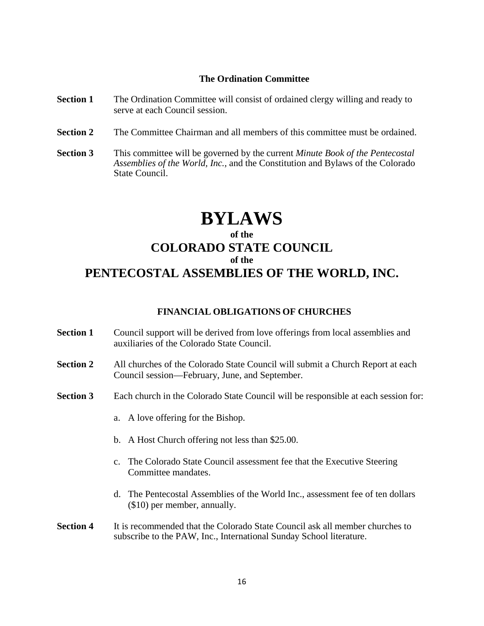#### **The Ordination Committee**

- **Section 1** The Ordination Committee will consist of ordained clergy willing and ready to serve at each Council session.
- **Section 2** The Committee Chairman and all members of this committee must be ordained.
- **Section 3** This committee will be governed by the current *Minute Book of the Pentecostal Assemblies of the World, Inc.,* and the Constitution and Bylaws of the Colorado State Council.

# **BYLAWS**

# **of the COLORADO STATE COUNCIL of the PENTECOSTAL ASSEMBLIES OF THE WORLD, INC.**

#### **FINANCIAL OBLIGATIONS OF CHURCHES**

- **Section 1** Council support will be derived from love offerings from local assemblies and auxiliaries of the Colorado State Council.
- **Section 2** All churches of the Colorado State Council will submit a Church Report at each Council session—February, June, and September.
- **Section 3** Each church in the Colorado State Council will be responsible at each session for:
	- a. A love offering for the Bishop.
	- b. A Host Church offering not less than \$25.00.
	- c. The Colorado State Council assessment fee that the Executive Steering Committee mandates.
	- d. The Pentecostal Assemblies of the World Inc., assessment fee of ten dollars (\$10) per member, annually.
- **Section 4** It is recommended that the Colorado State Council ask all member churches to subscribe to the PAW, Inc., International Sunday School literature.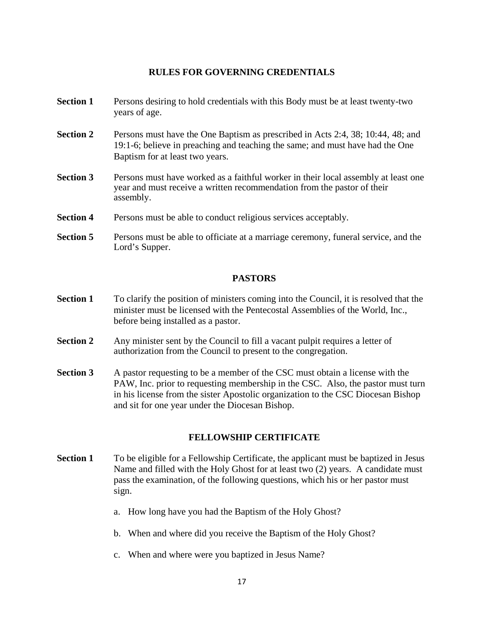# **RULES FOR GOVERNING CREDENTIALS**

- **Section 1** Persons desiring to hold credentials with this Body must be at least twenty-two years of age.
- **Section 2** Persons must have the One Baptism as prescribed in Acts 2:4, 38; 10:44, 48; and 19:1-6; believe in preaching and teaching the same; and must have had the One Baptism for at least two years.
- **Section 3** Persons must have worked as a faithful worker in their local assembly at least one year and must receive a written recommendation from the pastor of their assembly.
- **Section 4** Persons must be able to conduct religious services acceptably.
- **Section 5** Persons must be able to officiate at a marriage ceremony, funeral service, and the Lord's Supper.

#### **PASTORS**

- **Section 1** To clarify the position of ministers coming into the Council, it is resolved that the minister must be licensed with the Pentecostal Assemblies of the World, Inc., before being installed as a pastor.
- **Section 2** Any minister sent by the Council to fill a vacant pulpit requires a letter of authorization from the Council to present to the congregation.
- **Section 3** A pastor requesting to be a member of the CSC must obtain a license with the PAW, Inc. prior to requesting membership in the CSC. Also, the pastor must turn in his license from the sister Apostolic organization to the CSC Diocesan Bishop and sit for one year under the Diocesan Bishop.

# **FELLOWSHIP CERTIFICATE**

- **Section 1** To be eligible for a Fellowship Certificate, the applicant must be baptized in Jesus Name and filled with the Holy Ghost for at least two (2) years. A candidate must pass the examination, of the following questions, which his or her pastor must sign.
	- a. How long have you had the Baptism of the Holy Ghost?
	- b. When and where did you receive the Baptism of the Holy Ghost?
	- c. When and where were you baptized in Jesus Name?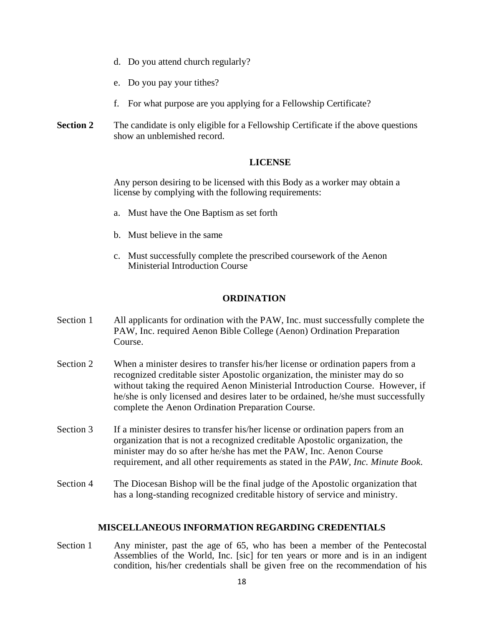- d. Do you attend church regularly?
- e. Do you pay your tithes?
- f. For what purpose are you applying for a Fellowship Certificate?
- **Section 2** The candidate is only eligible for a Fellowship Certificate if the above questions show an unblemished record.

#### **LICENSE**

Any person desiring to be licensed with this Body as a worker may obtain a license by complying with the following requirements:

- a. Must have the One Baptism as set forth
- b. Must believe in the same
- c. Must successfully complete the prescribed coursework of the Aenon Ministerial Introduction Course

#### **ORDINATION**

- Section 1 All applicants for ordination with the PAW, Inc. must successfully complete the PAW, Inc. required Aenon Bible College (Aenon) Ordination Preparation Course.
- Section 2 When a minister desires to transfer his/her license or ordination papers from a recognized creditable sister Apostolic organization, the minister may do so without taking the required Aenon Ministerial Introduction Course. However, if he/she is only licensed and desires later to be ordained, he/she must successfully complete the Aenon Ordination Preparation Course.
- Section 3 If a minister desires to transfer his/her license or ordination papers from an organization that is not a recognized creditable Apostolic organization, the minister may do so after he/she has met the PAW, Inc. Aenon Course requirement, and all other requirements as stated in the *PAW, Inc. Minute Book*.
- Section 4 The Diocesan Bishop will be the final judge of the Apostolic organization that has a long-standing recognized creditable history of service and ministry.

#### **MISCELLANEOUS INFORMATION REGARDING CREDENTIALS**

Section 1 Any minister, past the age of 65, who has been a member of the Pentecostal Assemblies of the World, Inc. [sic] for ten years or more and is in an indigent condition, his/her credentials shall be given free on the recommendation of his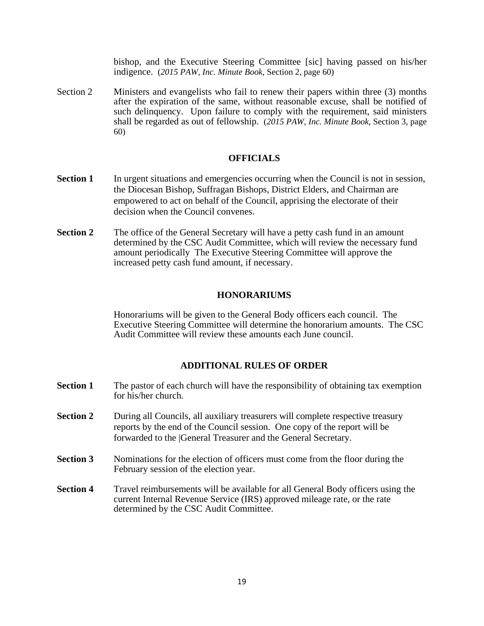bishop, and the Executive Steering Committee [sic] having passed on his/her indigence. (*2015 PAW, Inc. Minute Book*, Section 2, page 60)

Section 2 Ministers and evangelists who fail to renew their papers within three (3) months after the expiration of the same, without reasonable excuse, shall be notified of such delinquency. Upon failure to comply with the requirement, said ministers shall be regarded as out of fellowship. (*2015 PAW, Inc. Minute Book*, Section 3, page 60)

#### **OFFICIALS**

- **Section 1** In urgent situations and emergencies occurring when the Council is not in session, the Diocesan Bishop, Suffragan Bishops, District Elders, and Chairman are empowered to act on behalf of the Council, apprising the electorate of their decision when the Council convenes.
- **Section 2** The office of the General Secretary will have a petty cash fund in an amount determined by the CSC Audit Committee, which will review the necessary fund amount periodically The Executive Steering Committee will approve the increased petty cash fund amount, if necessary.

#### **HONORARIUMS**

Honorariums will be given to the General Body officers each council. The Executive Steering Committee will determine the honorarium amounts. The CSC Audit Committee will review these amounts each June council.

#### **ADDITIONAL RULES OF ORDER**

- **Section 1** The pastor of each church will have the responsibility of obtaining tax exemption for his/her church.
- **Section 2** During all Councils, all auxiliary treasurers will complete respective treasury reports by the end of the Council session. One copy of the report will be forwarded to the |General Treasurer and the General Secretary.
- **Section 3** •• Nominations for the election of officers must come from the floor during the February session of the election year.
- **Section 4** Travel reimbursements will be available for all General Body officers using the current Internal Revenue Service (IRS) approved mileage rate, or the rate determined by the CSC Audit Committee.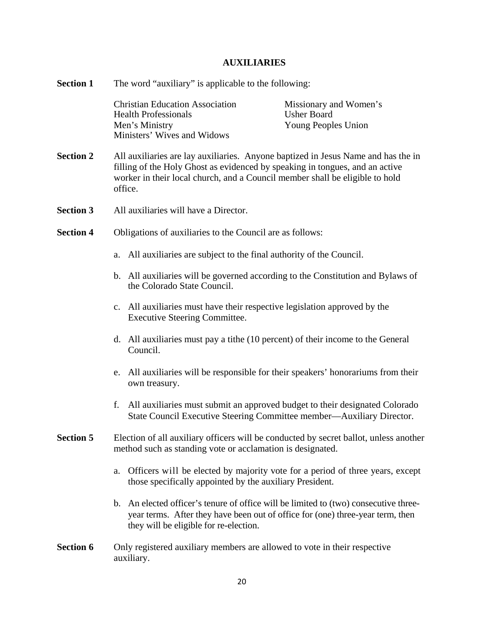# **AUXILIARIES**

| <b>Section 1</b> | The word "auxiliary" is applicable to the following:                                                                                                                                                                                                         |                                                                                                                                                                                                               |                                                                     |
|------------------|--------------------------------------------------------------------------------------------------------------------------------------------------------------------------------------------------------------------------------------------------------------|---------------------------------------------------------------------------------------------------------------------------------------------------------------------------------------------------------------|---------------------------------------------------------------------|
|                  |                                                                                                                                                                                                                                                              | <b>Christian Education Association</b><br><b>Health Professionals</b><br>Men's Ministry<br>Ministers' Wives and Widows                                                                                        | Missionary and Women's<br><b>Usher Board</b><br>Young Peoples Union |
| <b>Section 2</b> | All auxiliaries are lay auxiliaries. Anyone baptized in Jesus Name and has the in<br>filling of the Holy Ghost as evidenced by speaking in tongues, and an active<br>worker in their local church, and a Council member shall be eligible to hold<br>office. |                                                                                                                                                                                                               |                                                                     |
| <b>Section 3</b> | All auxiliaries will have a Director.                                                                                                                                                                                                                        |                                                                                                                                                                                                               |                                                                     |
| <b>Section 4</b> | Obligations of auxiliaries to the Council are as follows:                                                                                                                                                                                                    |                                                                                                                                                                                                               |                                                                     |
|                  | a.                                                                                                                                                                                                                                                           | All auxiliaries are subject to the final authority of the Council.                                                                                                                                            |                                                                     |
|                  |                                                                                                                                                                                                                                                              | b. All auxiliaries will be governed according to the Constitution and Bylaws of<br>the Colorado State Council.                                                                                                |                                                                     |
|                  | $C_{\bullet}$                                                                                                                                                                                                                                                | All auxiliaries must have their respective legislation approved by the<br><b>Executive Steering Committee.</b>                                                                                                |                                                                     |
|                  |                                                                                                                                                                                                                                                              | d. All auxiliaries must pay a tithe (10 percent) of their income to the General<br>Council.                                                                                                                   |                                                                     |
|                  | e.                                                                                                                                                                                                                                                           | All auxiliaries will be responsible for their speakers' honorariums from their<br>own treasury.                                                                                                               |                                                                     |
|                  | f.                                                                                                                                                                                                                                                           | All auxiliaries must submit an approved budget to their designated Colorado<br>State Council Executive Steering Committee member—Auxiliary Director.                                                          |                                                                     |
| <b>Section 5</b> |                                                                                                                                                                                                                                                              | Election of all auxiliary officers will be conducted by secret ballot, unless another<br>method such as standing vote or acclamation is designated.                                                           |                                                                     |
|                  | a.                                                                                                                                                                                                                                                           | Officers will be elected by majority vote for a period of three years, except<br>those specifically appointed by the auxiliary President.                                                                     |                                                                     |
|                  | $\mathbf{b}$ .                                                                                                                                                                                                                                               | An elected officer's tenure of office will be limited to (two) consecutive three-<br>year terms. After they have been out of office for (one) three-year term, then<br>they will be eligible for re-election. |                                                                     |
| <b>Section 6</b> |                                                                                                                                                                                                                                                              | Only registered auxiliary members are allowed to vote in their respective<br>auxiliary.                                                                                                                       |                                                                     |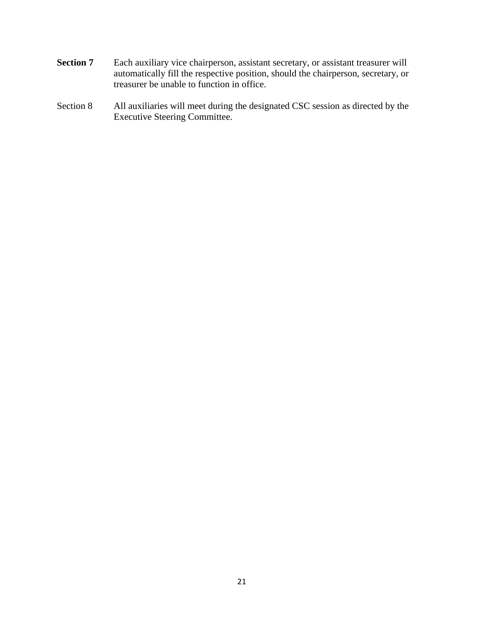- **Section 7** Each auxiliary vice chairperson, assistant secretary, or assistant treasurer will automatically fill the respective position, should the chairperson, secretary, or treasurer be unable to function in office.
- Section 8 All auxiliaries will meet during the designated CSC session as directed by the Executive Steering Committee.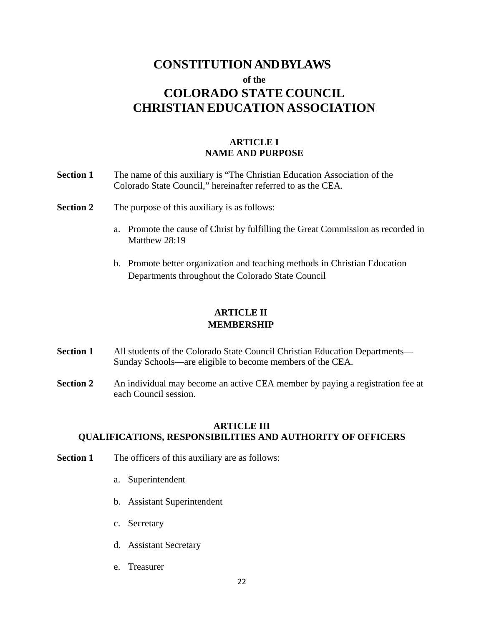# **CONSTITUTION AND BYLAWS of the COLORADO STATE COUNCIL CHRISTIAN EDUCATION ASSOCIATION**

# **ARTICLE I NAME AND PURPOSE**

- **Section 1** The name of this auxiliary is "The Christian Education Association of the Colorado State Council," hereinafter referred to as the CEA.
- **Section 2** The purpose of this auxiliary is as follows:
	- a. Promote the cause of Christ by fulfilling the Great Commission as recorded in Matthew 28:19
	- b. Promote better organization and teaching methods in Christian Education Departments throughout the Colorado State Council

# **ARTICLE II MEMBERSHIP**

- **Section 1** All students of the Colorado State Council Christian Education Departments— Sunday Schools—are eligible to become members of the CEA.
- **Section 2** An individual may become an active CEA member by paying a registration fee at each Council session.

### **ARTICLE III QUALIFICATIONS, RESPONSIBILITIES AND AUTHORITY OF OFFICERS**

- **Section 1** The officers of this auxiliary are as follows:
	- a. Superintendent
	- b. Assistant Superintendent
	- c. Secretary
	- d. Assistant Secretary
	- e. Treasurer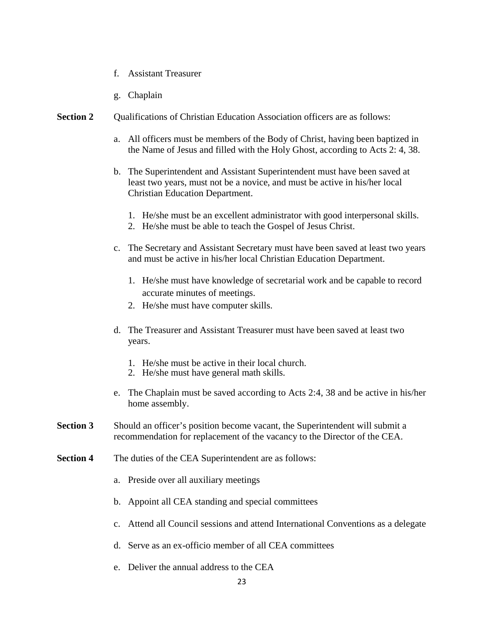- f. Assistant Treasurer
- g. Chaplain
- **Section 2** Qualifications of Christian Education Association officers are as follows:
	- a. All officers must be members of the Body of Christ, having been baptized in the Name of Jesus and filled with the Holy Ghost, according to Acts 2: 4, 38.
	- b. The Superintendent and Assistant Superintendent must have been saved at least two years, must not be a novice, and must be active in his/her local Christian Education Department.
		- 1. He/she must be an excellent administrator with good interpersonal skills.
		- 2. He/she must be able to teach the Gospel of Jesus Christ.
	- c. The Secretary and Assistant Secretary must have been saved at least two years and must be active in his/her local Christian Education Department.
		- 1. He/she must have knowledge of secretarial work and be capable to record accurate minutes of meetings.
		- 2. He/she must have computer skills.
	- d. The Treasurer and Assistant Treasurer must have been saved at least two years.
		- 1. He/she must be active in their local church.
		- 2. He/she must have general math skills.
	- e. The Chaplain must be saved according to Acts 2:4, 38 and be active in his/her home assembly.
- **Section 3** Should an officer's position become vacant, the Superintendent will submit a recommendation for replacement of the vacancy to the Director of the CEA.
- **Section 4** The duties of the CEA Superintendent are as follows:
	- a. Preside over all auxiliary meetings
	- b. Appoint all CEA standing and special committees
	- c. Attend all Council sessions and attend International Conventions as a delegate
	- d. Serve as an ex-officio member of all CEA committees
	- e. Deliver the annual address to the CEA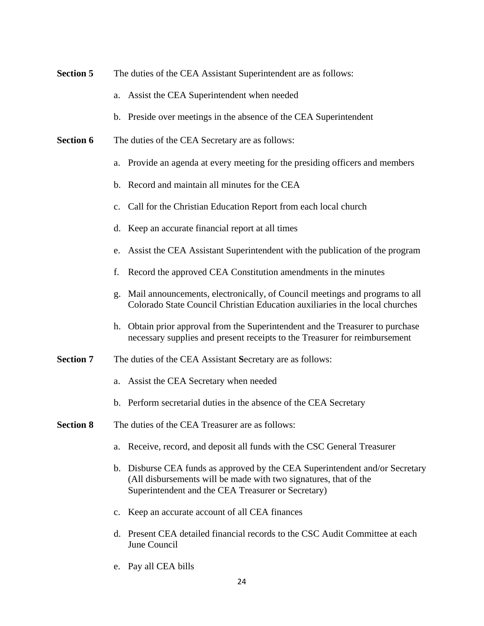- **Section 5** The duties of the CEA Assistant Superintendent are as follows:
	- a. Assist the CEA Superintendent when needed
	- b. Preside over meetings in the absence of the CEA Superintendent
- **Section 6** The duties of the CEA Secretary are as follows:
	- a. Provide an agenda at every meeting for the presiding officers and members
	- b. Record and maintain all minutes for the CEA
	- c. Call for the Christian Education Report from each local church
	- d. Keep an accurate financial report at all times
	- e. Assist the CEA Assistant Superintendent with the publication of the program
	- f. Record the approved CEA Constitution amendments in the minutes
	- g. Mail announcements, electronically, of Council meetings and programs to all Colorado State Council Christian Education auxiliaries in the local churches
	- h. Obtain prior approval from the Superintendent and the Treasurer to purchase necessary supplies and present receipts to the Treasurer for reimbursement
- **Section 7** The duties of the CEA Assistant Secretary are as follows:
	- a. Assist the CEA Secretary when needed
	- b. Perform secretarial duties in the absence of the CEA Secretary
- **Section 8** The duties of the CEA Treasurer are as follows:
	- a. Receive, record, and deposit all funds with the CSC General Treasurer
	- b. Disburse CEA funds as approved by the CEA Superintendent and/or Secretary (All disbursements will be made with two signatures, that of the Superintendent and the CEA Treasurer or Secretary)
	- c. Keep an accurate account of all CEA finances
	- d. Present CEA detailed financial records to the CSC Audit Committee at each June Council
	- e. Pay all CEA bills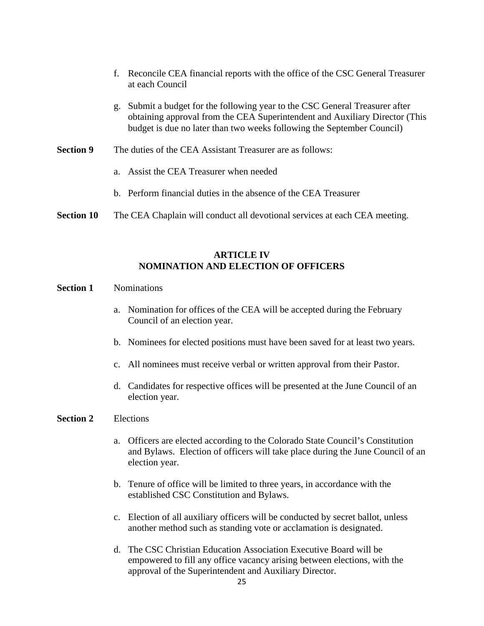- f. Reconcile CEA financial reports with the office of the CSC General Treasurer at each Council
- g. Submit a budget for the following year to the CSC General Treasurer after obtaining approval from the CEA Superintendent and Auxiliary Director (This budget is due no later than two weeks following the September Council)
- **Section 9** The duties of the CEA Assistant Treasurer are as follows:
	- a. Assist the CEA Treasurer when needed
	- b. Perform financial duties in the absence of the CEA Treasurer
- **Section 10** The CEA Chaplain will conduct all devotional services at each CEA meeting.

# **ARTICLE IV NOMINATION AND ELECTION OF OFFICERS**

### **Section 1** Nominations

- a. Nomination for offices of the CEA will be accepted during the February Council of an election year.
- b. Nominees for elected positions must have been saved for at least two years.
- c. All nominees must receive verbal or written approval from their Pastor.
- d. Candidates for respective offices will be presented at the June Council of an election year.

### **Section 2** Elections

- a. Officers are elected according to the Colorado State Council's Constitution and Bylaws. Election of officers will take place during the June Council of an election year.
- b. Tenure of office will be limited to three years, in accordance with the established CSC Constitution and Bylaws.
- c. Election of all auxiliary officers will be conducted by secret ballot, unless another method such as standing vote or acclamation is designated.
- d. The CSC Christian Education Association Executive Board will be empowered to fill any office vacancy arising between elections, with the approval of the Superintendent and Auxiliary Director.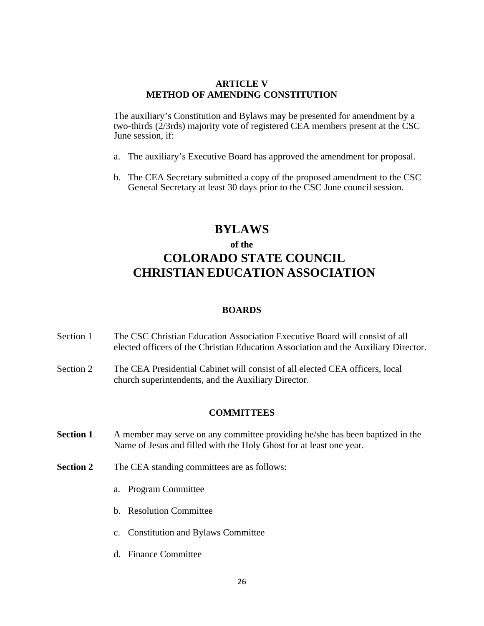#### **ARTICLE V METHOD OF AMENDING CONSTITUTION**

The auxiliary's Constitution and Bylaws may be presented for amendment by a two-thirds (2/3rds) majority vote of registered CEA members present at the CSC June session, if:

- a. The auxiliary's Executive Board has approved the amendment for proposal.
- b. The CEA Secretary submitted a copy of the proposed amendment to the CSC General Secretary at least 30 days prior to the CSC June council session.

# **BYLAWS**

# **of the COLORADO STATE COUNCIL CHRISTIAN EDUCATION ASSOCIATION**

#### **BOARDS**

- Section 1 The CSC Christian Education Association Executive Board will consist of all elected officers of the Christian Education Association and the Auxiliary Director.
- Section 2 The CEA Presidential Cabinet will consist of all elected CEA officers, local church superintendents, and the Auxiliary Director.

#### **COMMITTEES**

- **Section 1** A member may serve on any committee providing he/she has been baptized in the Name of Jesus and filled with the Holy Ghost for at least one year.
- **Section 2** The CEA standing committees are as follows:
	- a. Program Committee
	- b. Resolution Committee
	- c. Constitution and Bylaws Committee
	- d. Finance Committee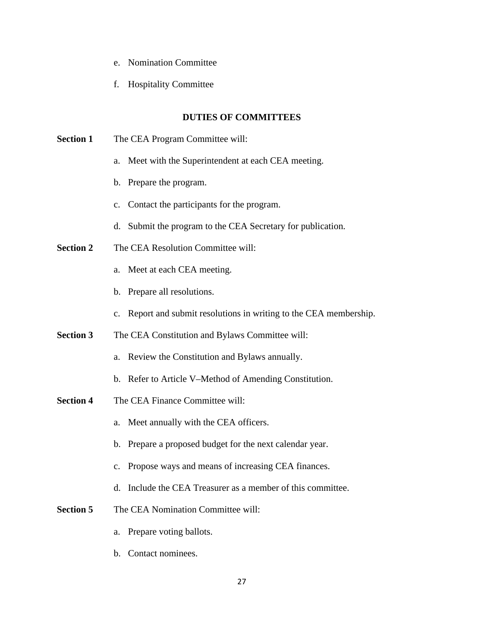- e. Nomination Committee
- f. Hospitality Committee

### **DUTIES OF COMMITTEES**

**Section 1** The CEA Program Committee will: a. Meet with the Superintendent at each CEA meeting. b. Prepare the program. c. Contact the participants for the program. d. Submit the program to the CEA Secretary for publication. **Section 2** The CEA Resolution Committee will: a. Meet at each CEA meeting. b. Prepare all resolutions. c. Report and submit resolutions in writing to the CEA membership. **Section 3** The CEA Constitution and Bylaws Committee will: a. Review the Constitution and Bylaws annually. b. Refer to Article V–Method of Amending Constitution. **Section 4** The CEA Finance Committee will: a. Meet annually with the CEA officers. b. Prepare a proposed budget for the next calendar year. c. Propose ways and means of increasing CEA finances. d. Include the CEA Treasurer as a member of this committee. **Section 5** The CEA Nomination Committee will: a. Prepare voting ballots. b. Contact nominees.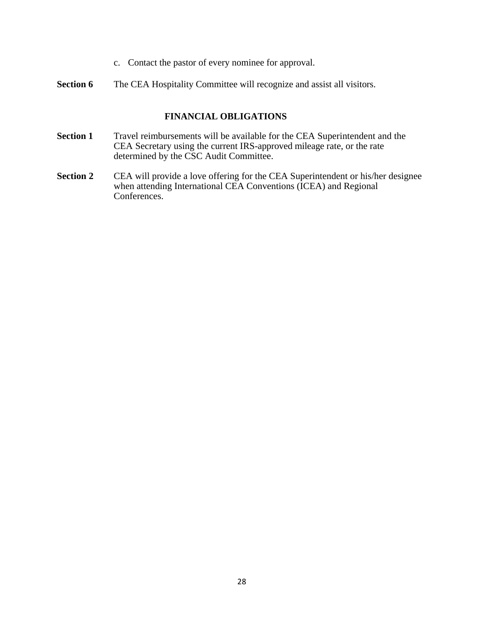- c. Contact the pastor of every nominee for approval.
- **Section 6** The CEA Hospitality Committee will recognize and assist all visitors.

#### **FINANCIAL OBLIGATIONS**

- **Section 1** Travel reimbursements will be available for the CEA Superintendent and the CEA Secretary using the current IRS-approved mileage rate, or the rate determined by the CSC Audit Committee.
- **Section 2** CEA will provide a love offering for the CEA Superintendent or his/her designee when attending International CEA Conventions (ICEA) and Regional Conferences.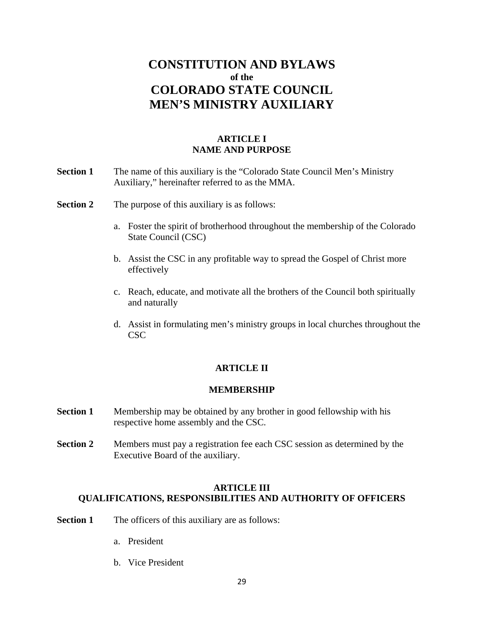# **CONSTITUTION AND BYLAWS of the COLORADO STATE COUNCIL MEN'S MINISTRY AUXILIARY**

# **ARTICLE I NAME AND PURPOSE**

- **Section 1** The name of this auxiliary is the "Colorado State Council Men's Ministry Auxiliary," hereinafter referred to as the MMA.
- **Section 2** The purpose of this auxiliary is as follows:
	- a. Foster the spirit of brotherhood throughout the membership of the Colorado State Council (CSC)
	- b. Assist the CSC in any profitable way to spread the Gospel of Christ more effectively
	- c. Reach, educate, and motivate all the brothers of the Council both spiritually and naturally
	- d. Assist in formulating men's ministry groups in local churches throughout the CSC

# **ARTICLE II**

#### **MEMBERSHIP**

- **Section 1** Membership may be obtained by any brother in good fellowship with his respective home assembly and the CSC.
- **Section 2** Members must pay a registration fee each CSC session as determined by the Executive Board of the auxiliary.

# **ARTICLE III QUALIFICATIONS, RESPONSIBILITIES AND AUTHORITY OF OFFICERS**

- **Section 1** The officers of this auxiliary are as follows:
	- a. President
	- b. Vice President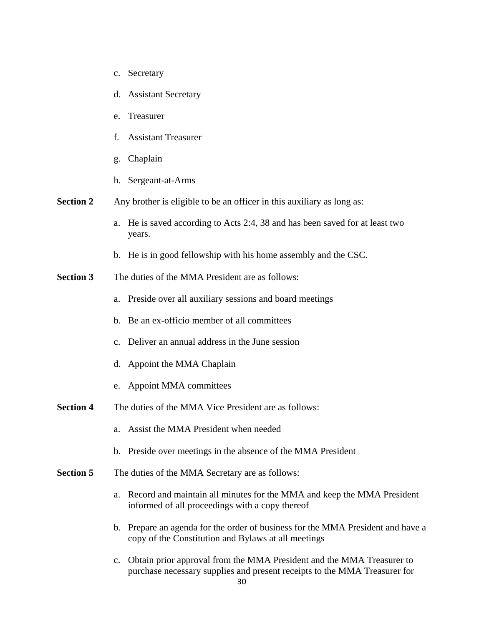- c. Secretary
- d. Assistant Secretary
- e. Treasurer
- f. Assistant Treasurer
- g. Chaplain
- h. Sergeant-at-Arms
- **Section 2** Any brother is eligible to be an officer in this auxiliary as long as:
	- a. He is saved according to Acts 2:4, 38 and has been saved for at least two years.
	- b. He is in good fellowship with his home assembly and the CSC.
- **Section 3** The duties of the MMA President are as follows:
	- a. Preside over all auxiliary sessions and board meetings
	- b. Be an ex-officio member of all committees
	- c. Deliver an annual address in the June session
	- d. Appoint the MMA Chaplain
	- e. Appoint MMA committees
- **Section 4** The duties of the MMA Vice President are as follows:
	- a. Assist the MMA President when needed
	- b. Preside over meetings in the absence of the MMA President
- **Section 5** The duties of the MMA Secretary are as follows:
	- a. Record and maintain all minutes for the MMA and keep the MMA President informed of all proceedings with a copy thereof
	- b. Prepare an agenda for the order of business for the MMA President and have a copy of the Constitution and Bylaws at all meetings
	- c. Obtain prior approval from the MMA President and the MMA Treasurer to purchase necessary supplies and present receipts to the MMA Treasurer for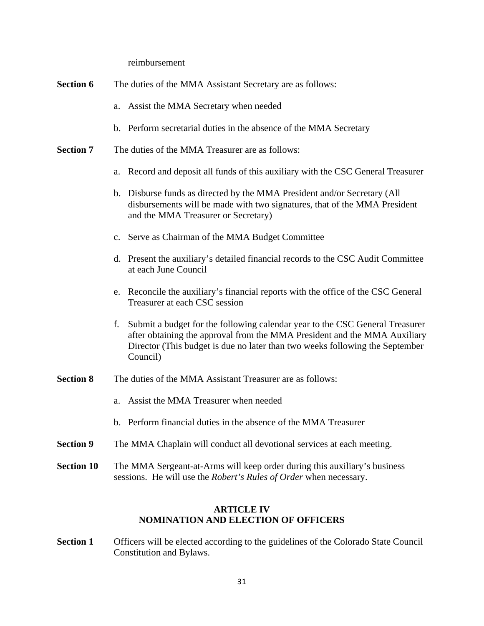reimbursement

| <b>Section 6</b> | The duties of the MMA Assistant Secretary are as follows: |  |
|------------------|-----------------------------------------------------------|--|
|------------------|-----------------------------------------------------------|--|

- a. Assist the MMA Secretary when needed
- b. Perform secretarial duties in the absence of the MMA Secretary
- **Section 7** The duties of the MMA Treasurer are as follows:
	- a. Record and deposit all funds of this auxiliary with the CSC General Treasurer
	- b. Disburse funds as directed by the MMA President and/or Secretary (All disbursements will be made with two signatures, that of the MMA President and the MMA Treasurer or Secretary)
	- c. Serve as Chairman of the MMA Budget Committee
	- d. Present the auxiliary's detailed financial records to the CSC Audit Committee at each June Council
	- e. Reconcile the auxiliary's financial reports with the office of the CSC General Treasurer at each CSC session
	- f. Submit a budget for the following calendar year to the CSC General Treasurer after obtaining the approval from the MMA President and the MMA Auxiliary Director (This budget is due no later than two weeks following the September Council)
- **Section 8** The duties of the MMA Assistant Treasurer are as follows:
	- a. Assist the MMA Treasurer when needed
	- b. Perform financial duties in the absence of the MMA Treasurer
- **Section 9** The MMA Chaplain will conduct all devotional services at each meeting.
- **Section 10** The MMA Sergeant-at-Arms will keep order during this auxiliary's business sessions. He will use the *Robert's Rules of Order* when necessary.

### **ARTICLE IV NOMINATION AND ELECTION OF OFFICERS**

**Section 1** Officers will be elected according to the guidelines of the Colorado State Council Constitution and Bylaws.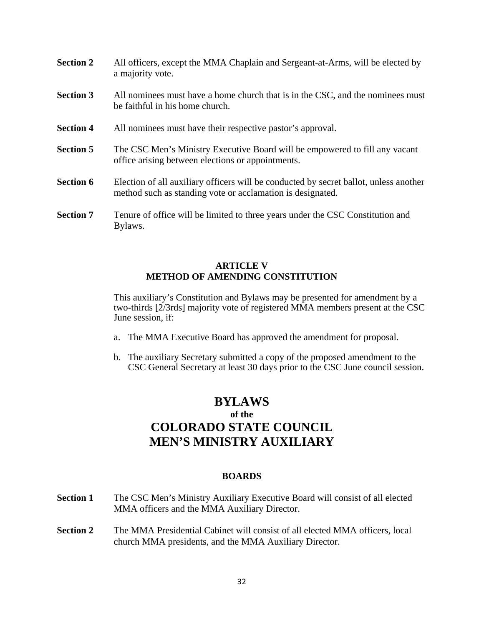- **Section 2** All officers, except the MMA Chaplain and Sergeant-at-Arms, will be elected by a majority vote.
- **Section 3** All nominees must have a home church that is in the CSC, and the nominees must be faithful in his home church.
- **Section 4** All nominees must have their respective pastor's approval.
- **Section 5** The CSC Men's Ministry Executive Board will be empowered to fill any vacant office arising between elections or appointments.
- **Section 6** Election of all auxiliary officers will be conducted by secret ballot, unless another method such as standing vote or acclamation is designated.
- **Section 7** Tenure of office will be limited to three years under the CSC Constitution and Bylaws.

# **ARTICLE V METHOD OF AMENDING CONSTITUTION**

This auxiliary's Constitution and Bylaws may be presented for amendment by a two-thirds [2/3rds] majority vote of registered MMA members present at the CSC June session, if:

- a. The MMA Executive Board has approved the amendment for proposal.
- b. The auxiliary Secretary submitted a copy of the proposed amendment to the CSC General Secretary at least 30 days prior to the CSC June council session.

# **BYLAWS of the COLORADO STATE COUNCIL MEN'S MINISTRY AUXILIARY**

#### **BOARDS**

- **Section 1** The CSC Men's Ministry Auxiliary Executive Board will consist of all elected MMA officers and the MMA Auxiliary Director.
- **Section 2** The MMA Presidential Cabinet will consist of all elected MMA officers, local church MMA presidents, and the MMA Auxiliary Director.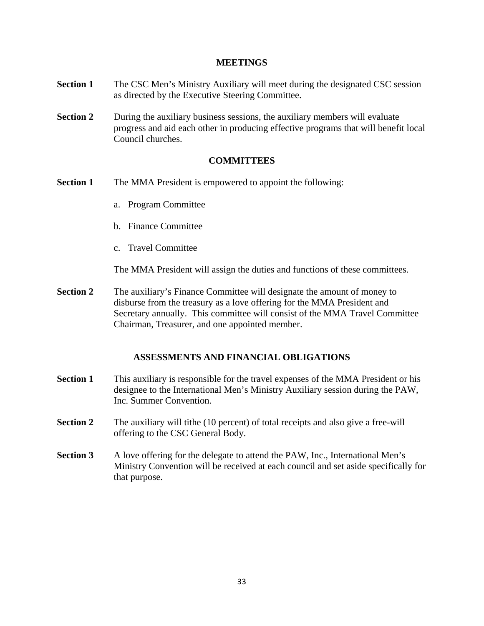#### **MEETINGS**

- **Section 1** The CSC Men's Ministry Auxiliary will meet during the designated CSC session as directed by the Executive Steering Committee.
- **Section 2** During the auxiliary business sessions, the auxiliary members will evaluate progress and aid each other in producing effective programs that will benefit local Council churches.

# **COMMITTEES**

- **Section 1** The MMA President is empowered to appoint the following:
	- a. Program Committee
	- b. Finance Committee
	- c. Travel Committee

The MMA President will assign the duties and functions of these committees.

**Section 2** The auxiliary's Finance Committee will designate the amount of money to disburse from the treasury as a love offering for the MMA President and Secretary annually. This committee will consist of the MMA Travel Committee Chairman, Treasurer, and one appointed member.

# **ASSESSMENTS AND FINANCIAL OBLIGATIONS**

- **Section 1** This auxiliary is responsible for the travel expenses of the MMA President or his designee to the International Men's Ministry Auxiliary session during the PAW, Inc. Summer Convention.
- **Section 2** The auxiliary will tithe (10 percent) of total receipts and also give a free-will offering to the CSC General Body.
- **Section 3** A love offering for the delegate to attend the PAW, Inc., International Men's Ministry Convention will be received at each council and set aside specifically for that purpose.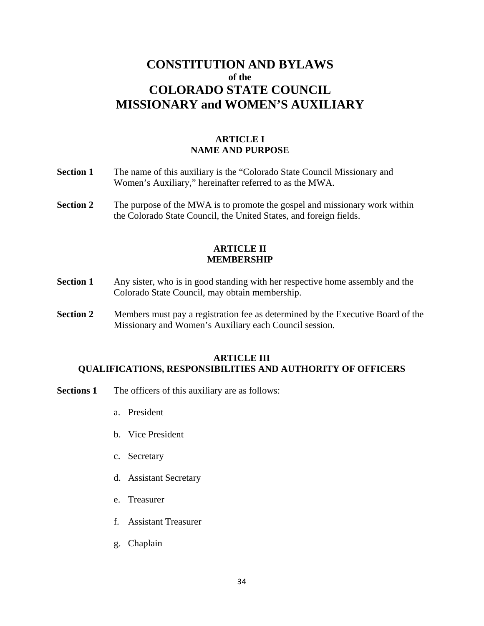# **CONSTITUTION AND BYLAWS of the COLORADO STATE COUNCIL MISSIONARY and WOMEN'S AUXILIARY**

# **ARTICLE I NAME AND PURPOSE**

- **Section 1** The name of this auxiliary is the "Colorado State Council Missionary and Women's Auxiliary," hereinafter referred to as the MWA.
- **Section 2** The purpose of the MWA is to promote the gospel and missionary work within the Colorado State Council, the United States, and foreign fields.

#### **ARTICLE II MEMBERSHIP**

- **Section 1** Any sister, who is in good standing with her respective home assembly and the Colorado State Council, may obtain membership.
- **Section 2** Members must pay a registration fee as determined by the Executive Board of the Missionary and Women's Auxiliary each Council session.

# **ARTICLE III QUALIFICATIONS, RESPONSIBILITIES AND AUTHORITY OF OFFICERS**

- **Sections 1** The officers of this auxiliary are as follows:
	- a. President
	- b. Vice President
	- c. Secretary
	- d. Assistant Secretary
	- e. Treasurer
	- f. Assistant Treasurer
	- g. Chaplain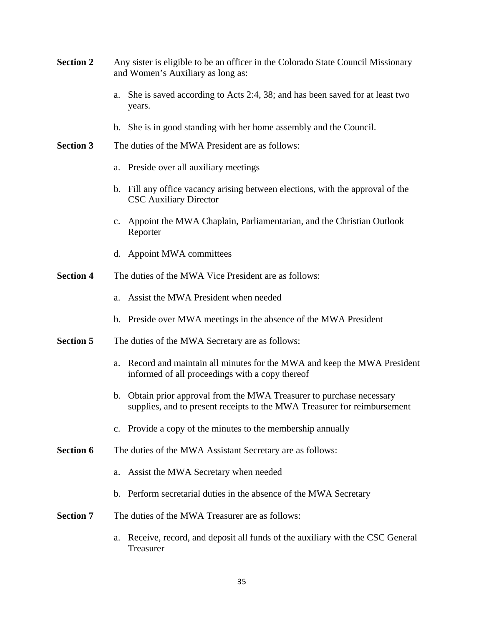| <b>Section 2</b> | Any sister is eligible to be an officer in the Colorado State Council Missionary<br>and Women's Auxiliary as long as:                             |
|------------------|---------------------------------------------------------------------------------------------------------------------------------------------------|
|                  | She is saved according to Acts 2:4, 38; and has been saved for at least two<br>a.<br>years.                                                       |
|                  | b. She is in good standing with her home assembly and the Council.                                                                                |
| <b>Section 3</b> | The duties of the MWA President are as follows:                                                                                                   |
|                  | a. Preside over all auxiliary meetings                                                                                                            |
|                  | b. Fill any office vacancy arising between elections, with the approval of the<br><b>CSC</b> Auxiliary Director                                   |
|                  | Appoint the MWA Chaplain, Parliamentarian, and the Christian Outlook<br>$\mathbf{c}$ .<br>Reporter                                                |
|                  | d. Appoint MWA committees                                                                                                                         |
| <b>Section 4</b> | The duties of the MWA Vice President are as follows:                                                                                              |
|                  | Assist the MWA President when needed<br>a.                                                                                                        |
|                  | b. Preside over MWA meetings in the absence of the MWA President                                                                                  |
| <b>Section 5</b> | The duties of the MWA Secretary are as follows:                                                                                                   |
|                  | Record and maintain all minutes for the MWA and keep the MWA President<br>a.<br>informed of all proceedings with a copy thereof                   |
|                  | b. Obtain prior approval from the MWA Treasurer to purchase necessary<br>supplies, and to present receipts to the MWA Treasurer for reimbursement |
|                  | c. Provide a copy of the minutes to the membership annually                                                                                       |
| <b>Section 6</b> | The duties of the MWA Assistant Secretary are as follows:                                                                                         |
|                  | Assist the MWA Secretary when needed<br>a.                                                                                                        |
|                  | b. Perform secretarial duties in the absence of the MWA Secretary                                                                                 |
| <b>Section 7</b> | The duties of the MWA Treasurer are as follows:                                                                                                   |
|                  | Receive, record, and deposit all funds of the auxiliary with the CSC General<br>a.<br>Treasurer                                                   |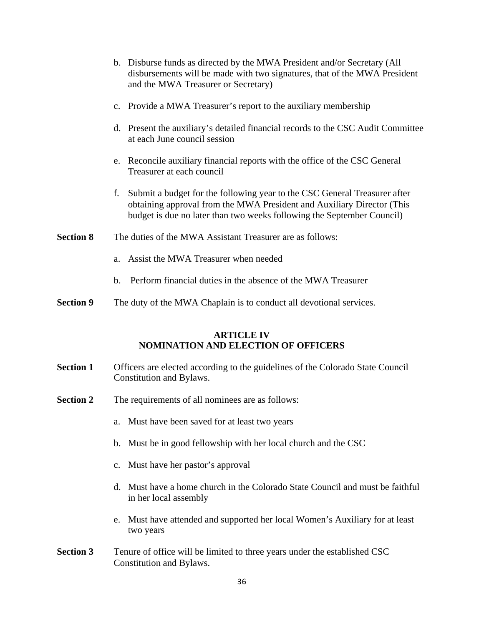|                  |    | b. Disburse funds as directed by the MWA President and/or Secretary (All<br>disbursements will be made with two signatures, that of the MWA President<br>and the MWA Treasurer or Secretary)                                  |
|------------------|----|-------------------------------------------------------------------------------------------------------------------------------------------------------------------------------------------------------------------------------|
|                  |    | c. Provide a MWA Treasurer's report to the auxiliary membership                                                                                                                                                               |
|                  |    | d. Present the auxiliary's detailed financial records to the CSC Audit Committee<br>at each June council session                                                                                                              |
|                  |    | e. Reconcile auxiliary financial reports with the office of the CSC General<br>Treasurer at each council                                                                                                                      |
|                  | f. | Submit a budget for the following year to the CSC General Treasurer after<br>obtaining approval from the MWA President and Auxiliary Director (This<br>budget is due no later than two weeks following the September Council) |
| <b>Section 8</b> |    | The duties of the MWA Assistant Treasurer are as follows:                                                                                                                                                                     |
|                  | a. | Assist the MWA Treasurer when needed                                                                                                                                                                                          |
|                  | b. | Perform financial duties in the absence of the MWA Treasurer                                                                                                                                                                  |

**Section 9** The duty of the MWA Chaplain is to conduct all devotional services.

# **ARTICLE IV NOMINATION AND ELECTION OF OFFICERS**

- **Section 1** Officers are elected according to the guidelines of the Colorado State Council Constitution and Bylaws.
- **Section 2** The requirements of all nominees are as follows:
	- a. Must have been saved for at least two years
	- b. Must be in good fellowship with her local church and the CSC
	- c. Must have her pastor's approval
	- d. Must have a home church in the Colorado State Council and must be faithful in her local assembly
	- e. Must have attended and supported her local Women's Auxiliary for at least two years
- **Section 3** Tenure of office will be limited to three years under the established CSC Constitution and Bylaws.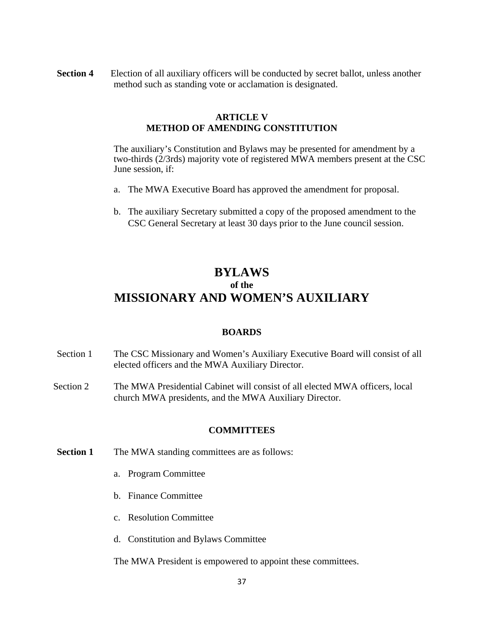**Section 4** • Election of all auxiliary officers will be conducted by secret ballot, unless another method such as standing vote or acclamation is designated.

# **ARTICLE V METHOD OF AMENDING CONSTITUTION**

The auxiliary's Constitution and Bylaws may be presented for amendment by a two-thirds (2/3rds) majority vote of registered MWA members present at the CSC June session, if:

- a. The MWA Executive Board has approved the amendment for proposal.
- b. The auxiliary Secretary submitted a copy of the proposed amendment to the CSC General Secretary at least 30 days prior to the June council session.

# **BYLAWS of the MISSIONARY AND WOMEN'S AUXILIARY**

#### **BOARDS**

- Section 1 The CSC Missionary and Women's Auxiliary Executive Board will consist of all elected officers and the MWA Auxiliary Director.
- Section 2 The MWA Presidential Cabinet will consist of all elected MWA officers, local church MWA presidents, and the MWA Auxiliary Director.

# **COMMITTEES**

- **Section 1** The MWA standing committees are as follows:
	- a. Program Committee
	- b. Finance Committee
	- c. Resolution Committee
	- d. Constitution and Bylaws Committee

The MWA President is empowered to appoint these committees.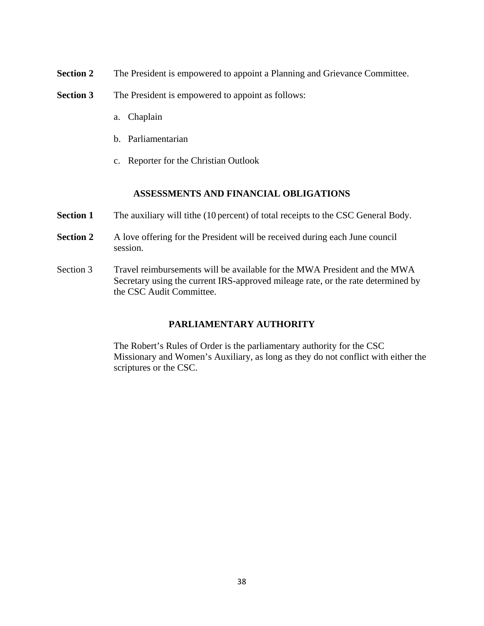- **Section 2** The President is empowered to appoint a Planning and Grievance Committee.
- **Section 3** The President is empowered to appoint as follows:
	- a. Chaplain
	- b. Parliamentarian
	- c. Reporter for the Christian Outlook

### **ASSESSMENTS AND FINANCIAL OBLIGATIONS**

- **Section 1** The auxiliary will tithe (10 percent) of total receipts to the CSC General Body.
- **Section 2** A love offering for the President will be received during each June council session.
- Section 3 Travel reimbursements will be available for the MWA President and the MWA Secretary using the current IRS-approved mileage rate, or the rate determined by the CSC Audit Committee.

# **PARLIAMENTARY AUTHORITY**

The Robert's Rules of Order is the parliamentary authority for the CSC Missionary and Women's Auxiliary, as long as they do not conflict with either the scriptures or the CSC.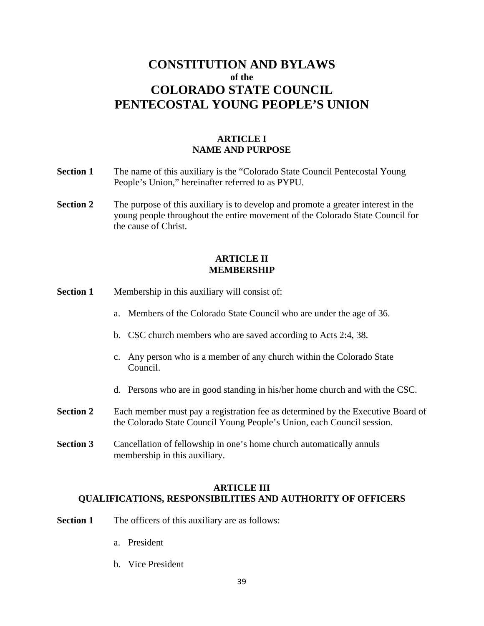# **CONSTITUTION AND BYLAWS of the COLORADO STATE COUNCIL PENTECOSTAL YOUNG PEOPLE'S UNION**

# **ARTICLE I NAME AND PURPOSE**

- **Section 1** The name of this auxiliary is the "Colorado State Council Pentecostal Young People's Union," hereinafter referred to as PYPU.
- **Section 2** The purpose of this auxiliary is to develop and promote a greater interest in the young people throughout the entire movement of the Colorado State Council for the cause of Christ.

#### **ARTICLE II MEMBERSHIP**

- **Section 1** Membership in this auxiliary will consist of:
	- a. Members of the Colorado State Council who are under the age of 36.
	- b. CSC church members who are saved according to Acts 2:4, 38.
	- c. Any person who is a member of any church within the Colorado State Council.
	- d. Persons who are in good standing in his/her home church and with the CSC.
- **Section 2** Each member must pay a registration fee as determined by the Executive Board of the Colorado State Council Young People's Union, each Council session.
- **Section 3** Cancellation of fellowship in one's home church automatically annuls membership in this auxiliary.

# **ARTICLE III QUALIFICATIONS, RESPONSIBILITIES AND AUTHORITY OF OFFICERS**

- **Section 1** The officers of this auxiliary are as follows:
	- a. President
	- b. Vice President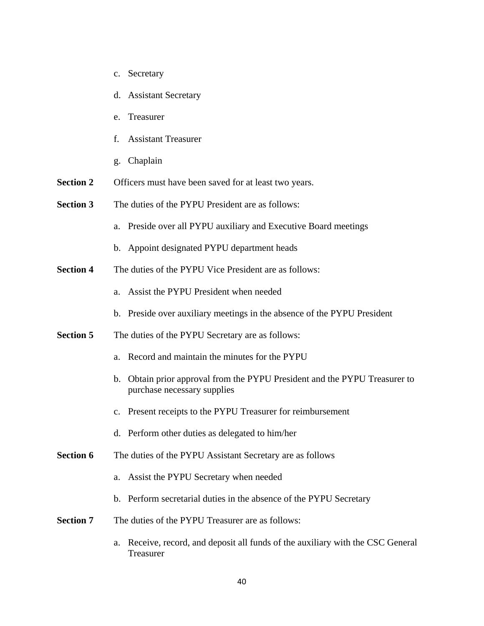- c. Secretary
- d. Assistant Secretary
- e. Treasurer
- f. Assistant Treasurer
- g. Chaplain
- **Section 2** Officers must have been saved for at least two years.
- **Section 3** The duties of the PYPU President are as follows:
	- a. Preside over all PYPU auxiliary and Executive Board meetings
	- b. Appoint designated PYPU department heads
- **Section 4** The duties of the PYPU Vice President are as follows:
	- a. Assist the PYPU President when needed
	- b. Preside over auxiliary meetings in the absence of the PYPU President
- **Section 5** The duties of the PYPU Secretary are as follows:
	- a. Record and maintain the minutes for the PYPU
	- b. Obtain prior approval from the PYPU President and the PYPU Treasurer to purchase necessary supplies
	- c. Present receipts to the PYPU Treasurer for reimbursement
	- d. Perform other duties as delegated to him/her
- **Section 6** The duties of the PYPU Assistant Secretary are as follows
	- a. Assist the PYPU Secretary when needed
	- b. Perform secretarial duties in the absence of the PYPU Secretary
- **Section 7** The duties of the PYPU Treasurer are as follows:
	- a. Receive, record, and deposit all funds of the auxiliary with the CSC General Treasurer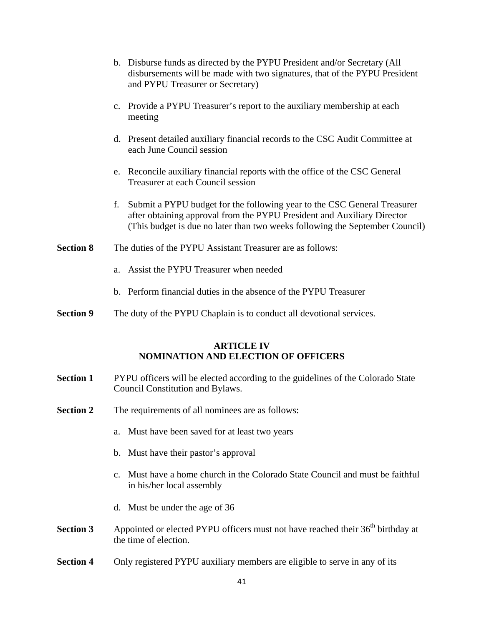|                  |    | b. Disburse funds as directed by the PYPU President and/or Secretary (All<br>disbursements will be made with two signatures, that of the PYPU President<br>and PYPU Treasurer or Secretary)                                         |
|------------------|----|-------------------------------------------------------------------------------------------------------------------------------------------------------------------------------------------------------------------------------------|
|                  |    | c. Provide a PYPU Treasurer's report to the auxiliary membership at each<br>meeting                                                                                                                                                 |
|                  |    | d. Present detailed auxiliary financial records to the CSC Audit Committee at<br>each June Council session                                                                                                                          |
|                  |    | e. Reconcile auxiliary financial reports with the office of the CSC General<br>Treasurer at each Council session                                                                                                                    |
|                  | f. | Submit a PYPU budget for the following year to the CSC General Treasurer<br>after obtaining approval from the PYPU President and Auxiliary Director<br>(This budget is due no later than two weeks following the September Council) |
| <b>Section 8</b> |    | The duties of the PYPU Assistant Treasurer are as follows:                                                                                                                                                                          |
|                  | a. | Assist the PYPU Treasurer when needed                                                                                                                                                                                               |
|                  |    | b. Perform financial duties in the absence of the PYPU Treasurer                                                                                                                                                                    |
| <b>Section 9</b> |    | The duty of the PYPU Chaplain is to conduct all devotional services.                                                                                                                                                                |
|                  |    | ARTICLE IV                                                                                                                                                                                                                          |

### **ARTICLE IV NOMINATION AND ELECTION OF OFFICERS**

- **Section 1** PYPU officers will be elected according to the guidelines of the Colorado State Council Constitution and Bylaws.
- **Section 2** The requirements of all nominees are as follows:
	- a. Must have been saved for at least two years
	- b. Must have their pastor's approval
	- c. Must have a home church in the Colorado State Council and must be faithful in his/her local assembly
	- d. Must be under the age of 36
- **Section 3** Appointed or elected PYPU officers must not have reached their 36<sup>th</sup> birthday at the time of election.
- **Section 4** Only registered PYPU auxiliary members are eligible to serve in any of its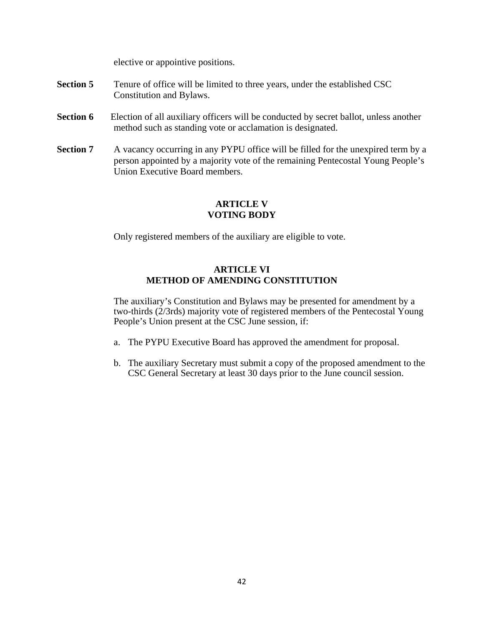elective or appointive positions.

- **Section 5** Tenure of office will be limited to three years, under the established CSC Constitution and Bylaws.
- **Section 6** Election of all auxiliary officers will be conducted by secret ballot, unless another method such as standing vote or acclamation is designated.
- **Section 7** A vacancy occurring in any PYPU office will be filled for the unexpired term by a person appointed by a majority vote of the remaining Pentecostal Young People's Union Executive Board members.

# **ARTICLE V VOTING BODY**

Only registered members of the auxiliary are eligible to vote.

# **ARTICLE VI METHOD OF AMENDING CONSTITUTION**

The auxiliary's Constitution and Bylaws may be presented for amendment by a two-thirds (2/3rds) majority vote of registered members of the Pentecostal Young People's Union present at the CSC June session, if:

- a. The PYPU Executive Board has approved the amendment for proposal.
- b. The auxiliary Secretary must submit a copy of the proposed amendment to the CSC General Secretary at least 30 days prior to the June council session.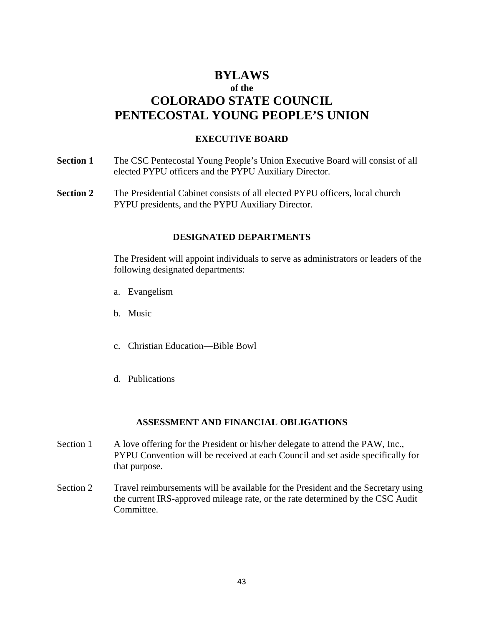# **BYLAWS of the COLORADO STATE COUNCIL PENTECOSTAL YOUNG PEOPLE'S UNION**

# **EXECUTIVE BOARD**

- **Section 1** The CSC Pentecostal Young People's Union Executive Board will consist of all elected PYPU officers and the PYPU Auxiliary Director.
- **Section 2** The Presidential Cabinet consists of all elected PYPU officers, local church PYPU presidents, and the PYPU Auxiliary Director.

# **DESIGNATED DEPARTMENTS**

The President will appoint individuals to serve as administrators or leaders of the following designated departments:

- a. Evangelism
- b. Music
- c. Christian Education—Bible Bowl
- d. Publications

#### **ASSESSMENT AND FINANCIAL OBLIGATIONS**

- Section 1 A love offering for the President or his/her delegate to attend the PAW, Inc., PYPU Convention will be received at each Council and set aside specifically for that purpose.
- Section 2 Travel reimbursements will be available for the President and the Secretary using the current IRS-approved mileage rate, or the rate determined by the CSC Audit Committee.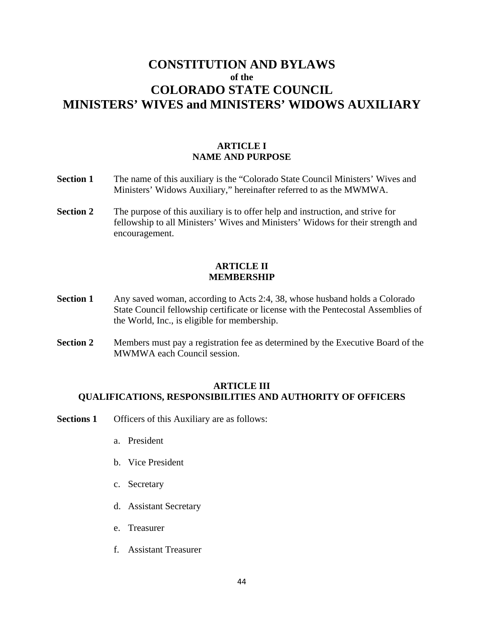# **CONSTITUTION AND BYLAWS of the COLORADO STATE COUNCIL MINISTERS' WIVES and MINISTERS' WIDOWS AUXILIARY**

# **ARTICLE I NAME AND PURPOSE**

- **Section 1** The name of this auxiliary is the "Colorado State Council Ministers' Wives and Ministers' Widows Auxiliary," hereinafter referred to as the MWMWA.
- **Section 2** The purpose of this auxiliary is to offer help and instruction, and strive for fellowship to all Ministers' Wives and Ministers' Widows for their strength and encouragement.

# **ARTICLE II MEMBERSHIP**

- **Section 1** Any saved woman, according to Acts 2:4, 38, whose husband holds a Colorado State Council fellowship certificate or license with the Pentecostal Assemblies of the World, Inc., is eligible for membership.
- **Section 2** Members must pay a registration fee as determined by the Executive Board of the MWMWA each Council session.

### **ARTICLE III QUALIFICATIONS, RESPONSIBILITIES AND AUTHORITY OF OFFICERS**

- **Sections 1** Officers of this Auxiliary are as follows:
	- a. President
	- b. Vice President
	- c. Secretary
	- d. Assistant Secretary
	- e. Treasurer
	- f. Assistant Treasurer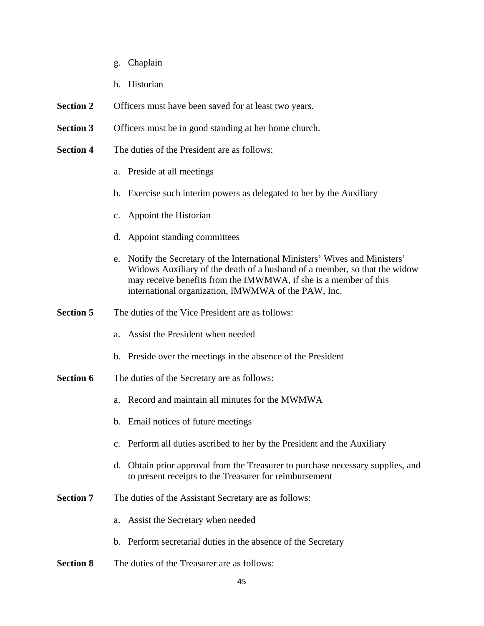- g. Chaplain
- h. Historian
- **Section 2** Officers must have been saved for at least two years.
- **Section 3** Officers must be in good standing at her home church.
- **Section 4** The duties of the President are as follows:
	- a. Preside at all meetings
	- b. Exercise such interim powers as delegated to her by the Auxiliary
	- c. Appoint the Historian
	- d. Appoint standing committees
	- e. Notify the Secretary of the International Ministers' Wives and Ministers' Widows Auxiliary of the death of a husband of a member, so that the widow may receive benefits from the IMWMWA, if she is a member of this international organization, IMWMWA of the PAW, Inc.
- **Section 5** The duties of the Vice President are as follows:
	- a. Assist the President when needed
	- b. Preside over the meetings in the absence of the President
- **Section 6** The duties of the Secretary are as follows:
	- a. Record and maintain all minutes for the MWMWA
	- b. Email notices of future meetings
	- c. Perform all duties ascribed to her by the President and the Auxiliary
	- d. Obtain prior approval from the Treasurer to purchase necessary supplies, and to present receipts to the Treasurer for reimbursement
- **Section 7** The duties of the Assistant Secretary are as follows:
	- a. Assist the Secretary when needed
	- b. Perform secretarial duties in the absence of the Secretary
- **Section 8** The duties of the Treasurer are as follows: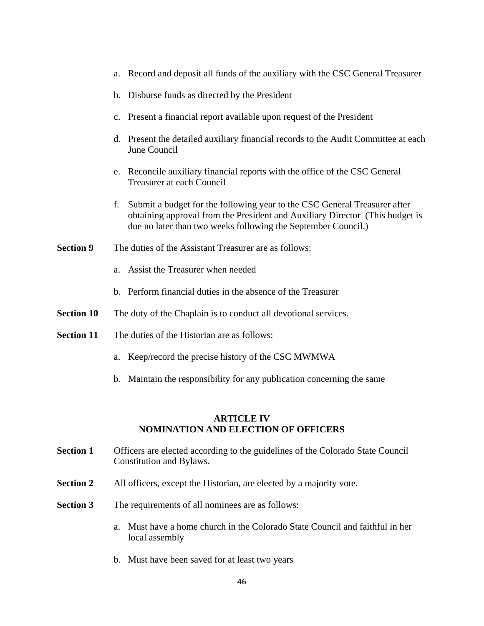- a. Record and deposit all funds of the auxiliary with the CSC General Treasurer b. Disburse funds as directed by the President c. Present a financial report available upon request of the President d. Present the detailed auxiliary financial records to the Audit Committee at each June Council e. Reconcile auxiliary financial reports with the office of the CSC General Treasurer at each Council f. Submit a budget for the following year to the CSC General Treasurer after obtaining approval from the President and Auxiliary Director (This budget is due no later than two weeks following the September Council.) **Section 9** The duties of the Assistant Treasurer are as follows: a. Assist the Treasurer when needed b. Perform financial duties in the absence of the Treasurer **Section 10** The duty of the Chaplain is to conduct all devotional services. **Section 11** The duties of the Historian are as follows: a. Keep/record the precise history of the CSC MWMWA b. Maintain the responsibility for any publication concerning the same **ARTICLE IV NOMINATION AND ELECTION OF OFFICERS**
- **Section 1** Officers are elected according to the guidelines of the Colorado State Council Constitution and Bylaws.
- **Section 2** All officers, except the Historian, are elected by a majority vote.
- **Section 3** The requirements of all nominees are as follows:
	- a. Must have a home church in the Colorado State Council and faithful in her local assembly
	- b. Must have been saved for at least two years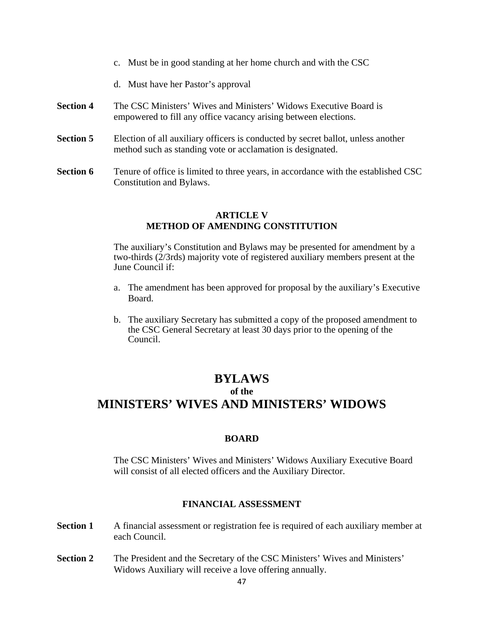- c. Must be in good standing at her home church and with the CSC
- d. Must have her Pastor's approval
- **Section 4** The CSC Ministers' Wives and Ministers' Widows Executive Board is empowered to fill any office vacancy arising between elections.
- **Section 5** Election of all auxiliary officers is conducted by secret ballot, unless another method such as standing vote or acclamation is designated.
- **Section 6** Tenure of office is limited to three years, in accordance with the established CSC Constitution and Bylaws.

# **ARTICLE V METHOD OF AMENDING CONSTITUTION**

The auxiliary's Constitution and Bylaws may be presented for amendment by a two-thirds (2/3rds) majority vote of registered auxiliary members present at the June Council if:

- a. The amendment has been approved for proposal by the auxiliary's Executive Board.
- b. The auxiliary Secretary has submitted a copy of the proposed amendment to the CSC General Secretary at least 30 days prior to the opening of the Council.

# **BYLAWS**

# **of the**

# **MINISTERS' WIVES AND MINISTERS' WIDOWS**

# **BOARD**

The CSC Ministers' Wives and Ministers' Widows Auxiliary Executive Board will consist of all elected officers and the Auxiliary Director.

# **FINANCIAL ASSESSMENT**

- **Section 1** A financial assessment or registration fee is required of each auxiliary member at each Council.
- **Section 2** The President and the Secretary of the CSC Ministers' Wives and Ministers' Widows Auxiliary will receive a love offering annually.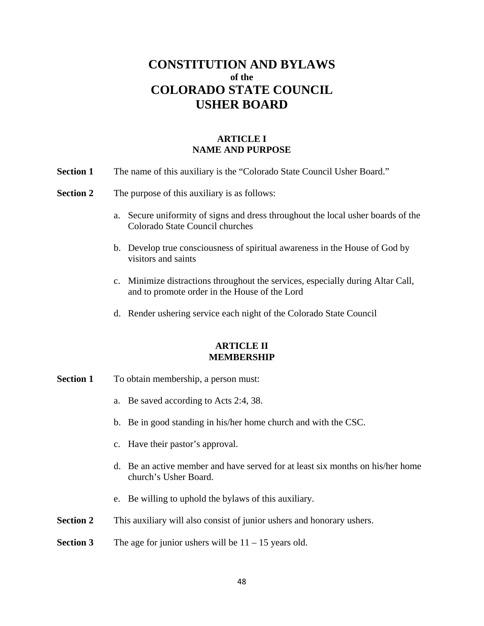# **CONSTITUTION AND BYLAWS of the COLORADO STATE COUNCIL USHER BOARD**

# **ARTICLE I NAME AND PURPOSE**

- **Section 1** The name of this auxiliary is the "Colorado State Council Usher Board."
- **Section 2** The purpose of this auxiliary is as follows:
	- a. Secure uniformity of signs and dress throughout the local usher boards of the Colorado State Council churches
	- b. Develop true consciousness of spiritual awareness in the House of God by visitors and saints
	- c. Minimize distractions throughout the services, especially during Altar Call, and to promote order in the House of the Lord
	- d. Render ushering service each night of the Colorado State Council

#### **ARTICLE II MEMBERSHIP**

- **Section 1** To obtain membership, a person must:
	- a. Be saved according to Acts 2:4, 38.
	- b. Be in good standing in his/her home church and with the CSC.
	- c. Have their pastor's approval.
	- d. Be an active member and have served for at least six months on his/her home church's Usher Board.
	- e. Be willing to uphold the bylaws of this auxiliary.
- **Section 2** This auxiliary will also consist of junior ushers and honorary ushers.

#### **Section 3** The age for junior ushers will be 11 – 15 years old.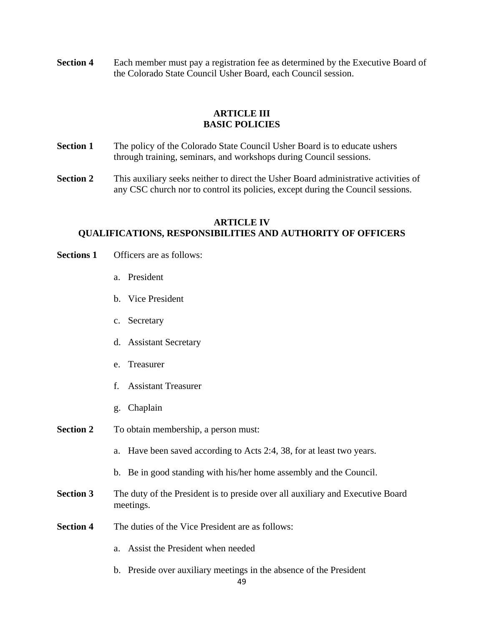**Section 4** •• Each member must pay a registration fee as determined by the Executive Board of the Colorado State Council Usher Board, each Council session.

# **ARTICLE III BASIC POLICIES**

- **Section 1** The policy of the Colorado State Council Usher Board is to educate ushers through training, seminars, and workshops during Council sessions.
- **Section 2** This auxiliary seeks neither to direct the Usher Board administrative activities of any CSC church nor to control its policies, except during the Council sessions.

# **ARTICLE IV QUALIFICATIONS, RESPONSIBILITIES AND AUTHORITY OF OFFICERS**

- **Sections 1** Officers are as follows:
	- a. President
	- b. Vice President
	- c. Secretary
	- d. Assistant Secretary
	- e. Treasurer
	- f. Assistant Treasurer
	- g. Chaplain
- **Section 2** To obtain membership, a person must:
	- a. Have been saved according to Acts 2:4, 38, for at least two years.
	- b. Be in good standing with his/her home assembly and the Council.
- **Section 3** The duty of the President is to preside over all auxiliary and Executive Board meetings.
- **Section 4** The duties of the Vice President are as follows:
	- a. Assist the President when needed
	- b. Preside over auxiliary meetings in the absence of the President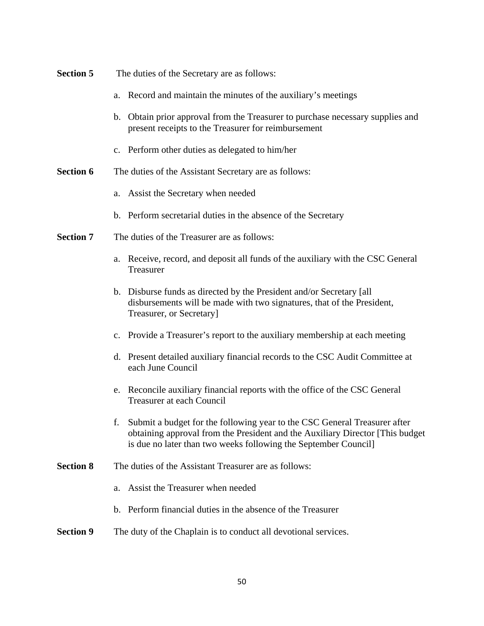| <b>Section 5</b> | The duties of the Secretary are as follows:                                                                                                                                                                                    |
|------------------|--------------------------------------------------------------------------------------------------------------------------------------------------------------------------------------------------------------------------------|
|                  | a. Record and maintain the minutes of the auxiliary's meetings                                                                                                                                                                 |
|                  | b. Obtain prior approval from the Treasurer to purchase necessary supplies and<br>present receipts to the Treasurer for reimbursement                                                                                          |
|                  | c. Perform other duties as delegated to him/her                                                                                                                                                                                |
| <b>Section 6</b> | The duties of the Assistant Secretary are as follows:                                                                                                                                                                          |
|                  | Assist the Secretary when needed<br>a.                                                                                                                                                                                         |
|                  | b. Perform secretarial duties in the absence of the Secretary                                                                                                                                                                  |
| <b>Section 7</b> | The duties of the Treasurer are as follows:                                                                                                                                                                                    |
|                  | Receive, record, and deposit all funds of the auxiliary with the CSC General<br>a.<br>Treasurer                                                                                                                                |
|                  | b. Disburse funds as directed by the President and/or Secretary [all]<br>disbursements will be made with two signatures, that of the President,<br>Treasurer, or Secretary]                                                    |
|                  | c. Provide a Treasurer's report to the auxiliary membership at each meeting                                                                                                                                                    |
|                  | d. Present detailed auxiliary financial records to the CSC Audit Committee at<br>each June Council                                                                                                                             |
|                  | e. Reconcile auxiliary financial reports with the office of the CSC General<br>Treasurer at each Council                                                                                                                       |
|                  | Submit a budget for the following year to the CSC General Treasurer after<br>obtaining approval from the President and the Auxiliary Director [This budget]<br>is due no later than two weeks following the September Council] |
| <b>Section 8</b> | The duties of the Assistant Treasurer are as follows:                                                                                                                                                                          |
|                  | Assist the Treasurer when needed<br>a.                                                                                                                                                                                         |
|                  | Perform financial duties in the absence of the Treasurer<br>b.                                                                                                                                                                 |
| <b>Section 9</b> | The duty of the Chaplain is to conduct all devotional services.                                                                                                                                                                |
|                  |                                                                                                                                                                                                                                |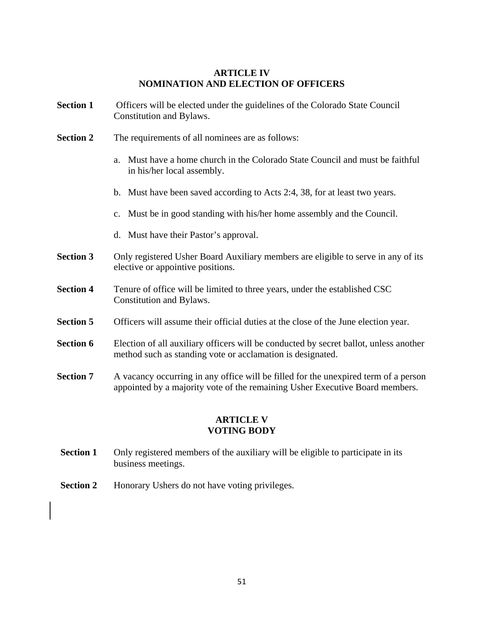### **ARTICLE IV NOMINATION AND ELECTION OF OFFICERS**

- **Section 1** Officers will be elected under the guidelines of the Colorado State Council Constitution and Bylaws.
- **Section 2** The requirements of all nominees are as follows:
	- a. Must have a home church in the Colorado State Council and must be faithful in his/her local assembly.
	- b. Must have been saved according to Acts 2:4, 38, for at least two years.
	- c. Must be in good standing with his/her home assembly and the Council.
	- d. Must have their Pastor's approval.
- **Section 3** Only registered Usher Board Auxiliary members are eligible to serve in any of its elective or appointive positions.
- **Section 4** Tenure of office will be limited to three years, under the established CSC Constitution and Bylaws.
- **Section 5** Officers will assume their official duties at the close of the June election year.
- **Section 6** Election of all auxiliary officers will be conducted by secret ballot, unless another method such as standing vote or acclamation is designated.
- **Section 7** A vacancy occurring in any office will be filled for the unexpired term of a person appointed by a majority vote of the remaining Usher Executive Board members.

# **ARTICLE V VOTING BODY**

- **Section 1** Only registered members of the auxiliary will be eligible to participate in its business meetings.
- **Section 2** Honorary Ushers do not have voting privileges.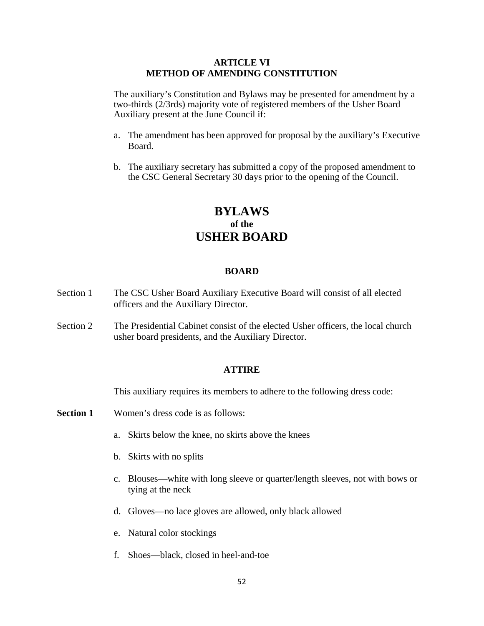### **ARTICLE VI METHOD OF AMENDING CONSTITUTION**

The auxiliary's Constitution and Bylaws may be presented for amendment by a two-thirds (2/3rds) majority vote of registered members of the Usher Board Auxiliary present at the June Council if:

- a. The amendment has been approved for proposal by the auxiliary's Executive Board.
- b. The auxiliary secretary has submitted a copy of the proposed amendment to the CSC General Secretary 30 days prior to the opening of the Council.

# **BYLAWS of the USHER BOARD**

#### **BOARD**

- Section 1 The CSC Usher Board Auxiliary Executive Board will consist of all elected officers and the Auxiliary Director.
- Section 2 The Presidential Cabinet consist of the elected Usher officers, the local church usher board presidents, and the Auxiliary Director.

#### **ATTIRE**

This auxiliary requires its members to adhere to the following dress code:

- **Section 1** Women's dress code is as follows:
	- a. Skirts below the knee, no skirts above the knees
	- b. Skirts with no splits
	- c. Blouses—white with long sleeve or quarter/length sleeves, not with bows or tying at the neck
	- d. Gloves—no lace gloves are allowed, only black allowed
	- e. Natural color stockings
	- f. Shoes—black, closed in heel-and-toe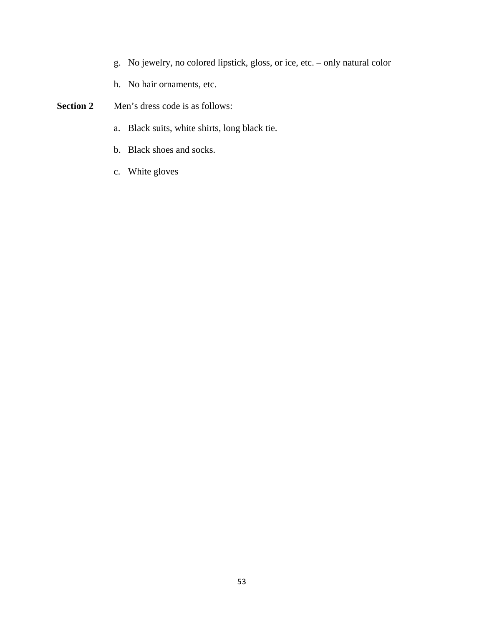- g. No jewelry, no colored lipstick, gloss, or ice, etc. only natural color
- h. No hair ornaments, etc.
- **Section 2** Men's dress code is as follows:
	- a. Black suits, white shirts, long black tie.
	- b. Black shoes and socks.
	- c. White gloves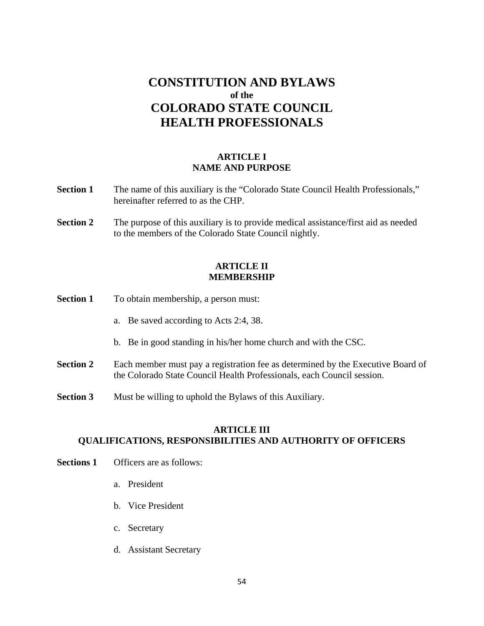# **CONSTITUTION AND BYLAWS of the COLORADO STATE COUNCIL HEALTH PROFESSIONALS**

# **ARTICLE I NAME AND PURPOSE**

- **Section 1** The name of this auxiliary is the "Colorado State Council Health Professionals," hereinafter referred to as the CHP.
- **Section 2** The purpose of this auxiliary is to provide medical assistance/first aid as needed to the members of the Colorado State Council nightly.

# **ARTICLE II MEMBERSHIP**

- **Section 1** To obtain membership, a person must:
	- a. Be saved according to Acts 2:4, 38.
	- b. Be in good standing in his/her home church and with the CSC.
- **Section 2** Each member must pay a registration fee as determined by the Executive Board of the Colorado State Council Health Professionals, each Council session.
- **Section 3** Must be willing to uphold the Bylaws of this Auxiliary.

# **ARTICLE III QUALIFICATIONS, RESPONSIBILITIES AND AUTHORITY OF OFFICERS**

- **Sections 1** Officers are as follows:
	- a. President
	- b. Vice President
	- c. Secretary
	- d. Assistant Secretary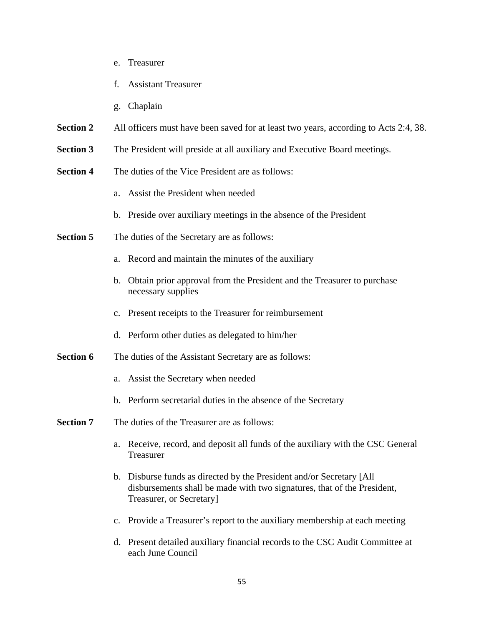- e. Treasurer
- f. Assistant Treasurer
- g. Chaplain
- **Section 2** All officers must have been saved for at least two years, according to Acts 2:4, 38.
- **Section 3** The President will preside at all auxiliary and Executive Board meetings.
- **Section 4** The duties of the Vice President are as follows:
	- a. Assist the President when needed
	- b. Preside over auxiliary meetings in the absence of the President
- **Section 5** The duties of the Secretary are as follows:
	- a. Record and maintain the minutes of the auxiliary
	- b. Obtain prior approval from the President and the Treasurer to purchase necessary supplies
	- c. Present receipts to the Treasurer for reimbursement
	- d. Perform other duties as delegated to him/her
- **Section 6** The duties of the Assistant Secretary are as follows:
	- a. Assist the Secretary when needed
	- b. Perform secretarial duties in the absence of the Secretary

# **Section 7** The duties of the Treasurer are as follows:

- a. Receive, record, and deposit all funds of the auxiliary with the CSC General Treasurer
- b. Disburse funds as directed by the President and/or Secretary [All disbursements shall be made with two signatures, that of the President, Treasurer, or Secretary]
- c. Provide a Treasurer's report to the auxiliary membership at each meeting
- d. Present detailed auxiliary financial records to the CSC Audit Committee at each June Council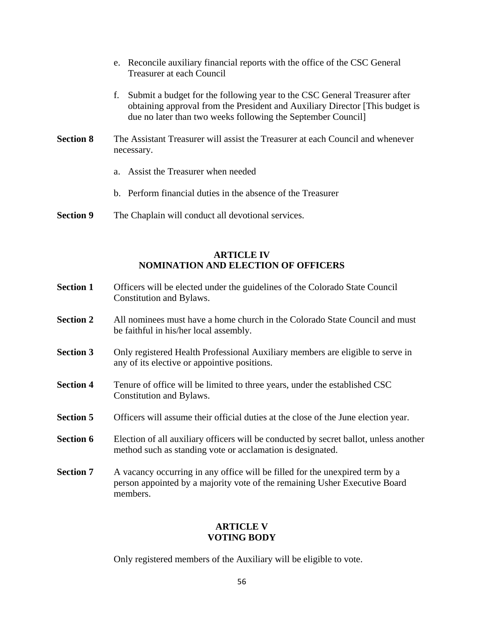- e. Reconcile auxiliary financial reports with the office of the CSC General Treasurer at each Council
- f. Submit a budget for the following year to the CSC General Treasurer after obtaining approval from the President and Auxiliary Director [This budget is due no later than two weeks following the September Council]
- **Section 8** The Assistant Treasurer will assist the Treasurer at each Council and whenever necessary.
	- a. Assist the Treasurer when needed
	- b. Perform financial duties in the absence of the Treasurer
- **Section 9** The Chaplain will conduct all devotional services.

# **ARTICLE IV NOMINATION AND ELECTION OF OFFICERS**

- **Section 1** Officers will be elected under the guidelines of the Colorado State Council Constitution and Bylaws.
- **Section 2** All nominees must have a home church in the Colorado State Council and must be faithful in his/her local assembly.
- **Section 3** Only registered Health Professional Auxiliary members are eligible to serve in any of its elective or appointive positions.
- **Section 4** Tenure of office will be limited to three years, under the established CSC Constitution and Bylaws.
- **Section 5** Officers will assume their official duties at the close of the June election year.
- **Section 6** Election of all auxiliary officers will be conducted by secret ballot, unless another method such as standing vote or acclamation is designated.
- **Section 7** A vacancy occurring in any office will be filled for the unexpired term by a person appointed by a majority vote of the remaining Usher Executive Board members.

# **ARTICLE V VOTING BODY**

Only registered members of the Auxiliary will be eligible to vote.